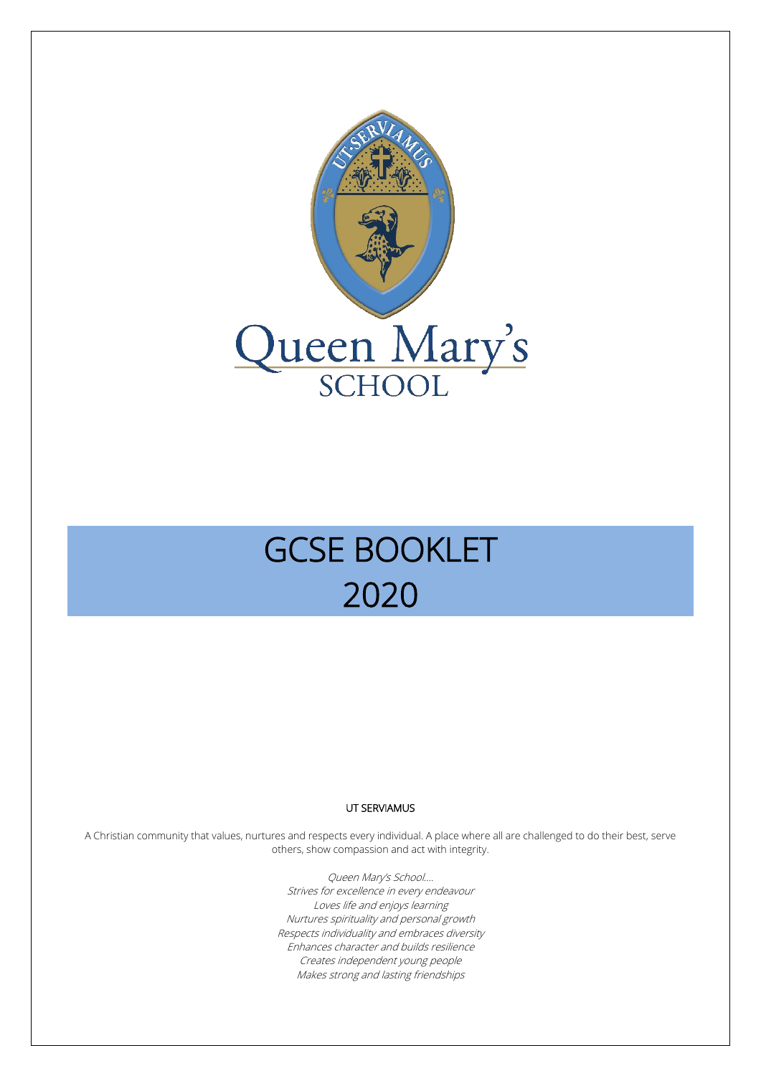

# GCSE BOOKLET 2020

#### UT SERVIAMUS

A Christian community that values, nurtures and respects every individual. A place where all are challenged to do their best, serve others, show compassion and act with integrity.

> Queen Mary's School…. Strives for excellence in every endeavour Loves life and enjoys learning Nurtures spirituality and personal growth Respects individuality and embraces diversity Enhances character and builds resilience Creates independent young people Makes strong and lasting friendships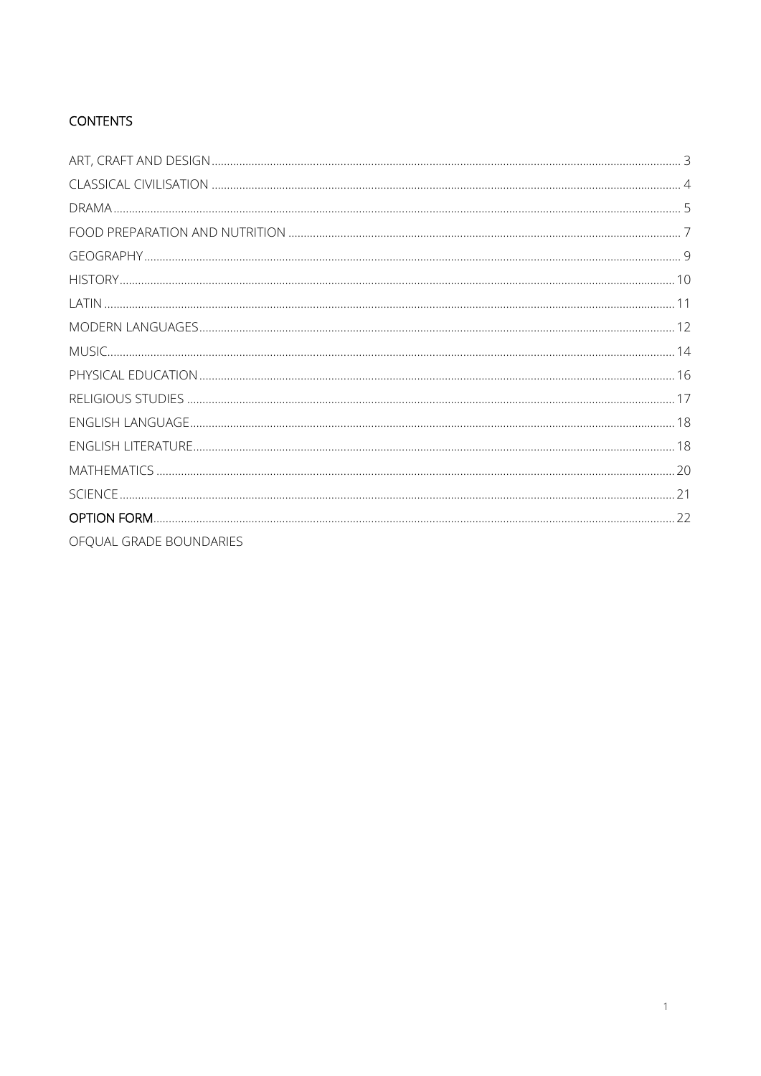## **CONTENTS**

| OFQUAL GRADE BOUNDARIES |  |
|-------------------------|--|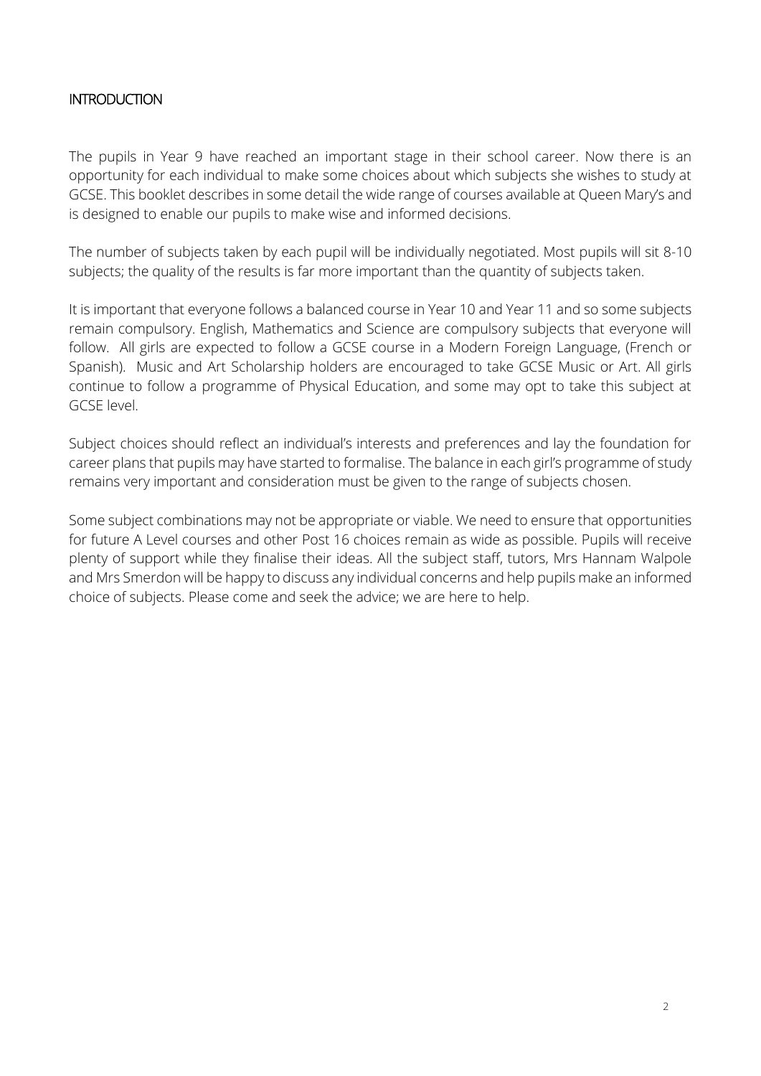#### **INTRODUCTION**

The pupils in Year 9 have reached an important stage in their school career. Now there is an opportunity for each individual to make some choices about which subjects she wishes to study at GCSE. This booklet describes in some detail the wide range of courses available at Queen Mary's and is designed to enable our pupils to make wise and informed decisions.

The number of subjects taken by each pupil will be individually negotiated. Most pupils will sit 8-10 subjects; the quality of the results is far more important than the quantity of subjects taken.

It is important that everyone follows a balanced course in Year 10 and Year 11 and so some subjects remain compulsory. English, Mathematics and Science are compulsory subjects that everyone will follow. All girls are expected to follow a GCSE course in a Modern Foreign Language, (French or Spanish). Music and Art Scholarship holders are encouraged to take GCSE Music or Art. All girls continue to follow a programme of Physical Education, and some may opt to take this subject at GCSE level.

Subject choices should reflect an individual's interests and preferences and lay the foundation for career plans that pupils may have started to formalise. The balance in each girl's programme of study remains very important and consideration must be given to the range of subjects chosen.

Some subject combinations may not be appropriate or viable. We need to ensure that opportunities for future A Level courses and other Post 16 choices remain as wide as possible. Pupils will receive plenty of support while they finalise their ideas. All the subject staff, tutors, Mrs Hannam Walpole and Mrs Smerdon will be happy to discuss any individual concerns and help pupils make an informed choice of subjects. Please come and seek the advice; we are here to help.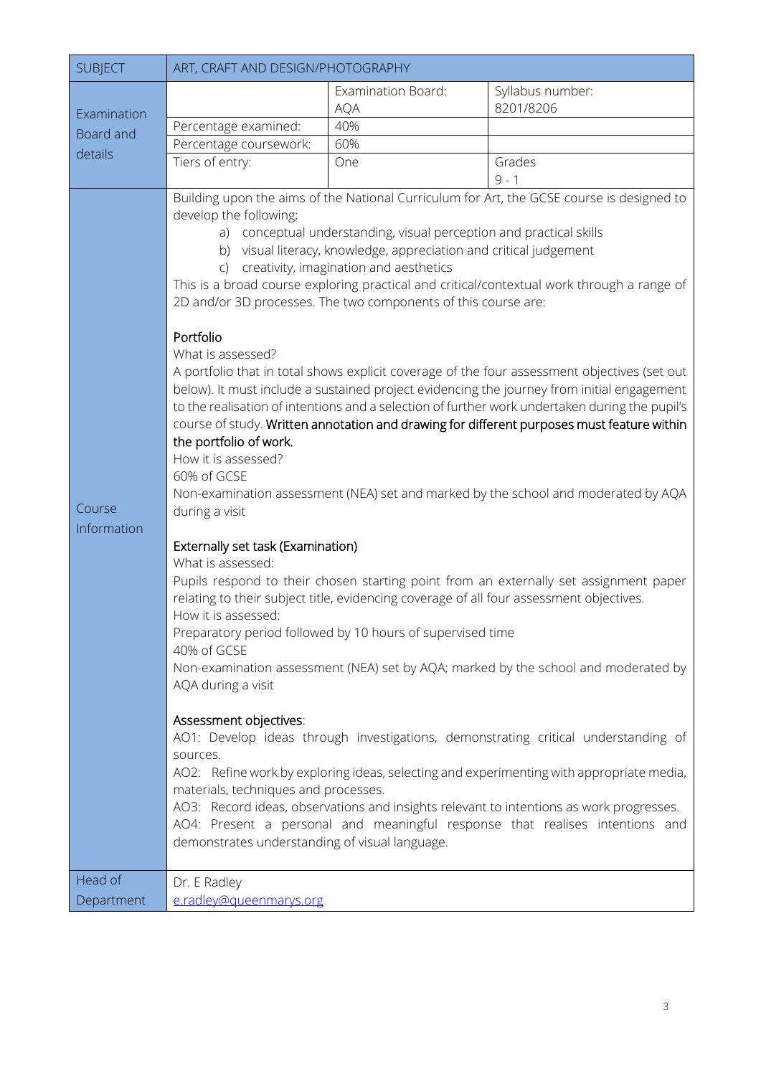<span id="page-3-0"></span>

| <b>SUBJECT</b>                   | ART, CRAFT AND DESIGN/PHOTOGRAPHY                                                                                                                                                                                                                                                                                                                                                                                |                                                                                                                                                                                                                                                                                                                        |                                                                                                                                                                                                                                                                                                                                                                                                                                                                                                                                                                                                                                                                                                                                                                                                                                                                                                                                                                                                                                                                                                                                                                                                                                                                                                                    |
|----------------------------------|------------------------------------------------------------------------------------------------------------------------------------------------------------------------------------------------------------------------------------------------------------------------------------------------------------------------------------------------------------------------------------------------------------------|------------------------------------------------------------------------------------------------------------------------------------------------------------------------------------------------------------------------------------------------------------------------------------------------------------------------|--------------------------------------------------------------------------------------------------------------------------------------------------------------------------------------------------------------------------------------------------------------------------------------------------------------------------------------------------------------------------------------------------------------------------------------------------------------------------------------------------------------------------------------------------------------------------------------------------------------------------------------------------------------------------------------------------------------------------------------------------------------------------------------------------------------------------------------------------------------------------------------------------------------------------------------------------------------------------------------------------------------------------------------------------------------------------------------------------------------------------------------------------------------------------------------------------------------------------------------------------------------------------------------------------------------------|
| Examination                      |                                                                                                                                                                                                                                                                                                                                                                                                                  | <b>Examination Board:</b><br><b>AQA</b>                                                                                                                                                                                                                                                                                | Syllabus number:<br>8201/8206                                                                                                                                                                                                                                                                                                                                                                                                                                                                                                                                                                                                                                                                                                                                                                                                                                                                                                                                                                                                                                                                                                                                                                                                                                                                                      |
| Board and                        | Percentage examined:                                                                                                                                                                                                                                                                                                                                                                                             | 40%                                                                                                                                                                                                                                                                                                                    |                                                                                                                                                                                                                                                                                                                                                                                                                                                                                                                                                                                                                                                                                                                                                                                                                                                                                                                                                                                                                                                                                                                                                                                                                                                                                                                    |
| details                          | Percentage coursework:                                                                                                                                                                                                                                                                                                                                                                                           | 60%                                                                                                                                                                                                                                                                                                                    |                                                                                                                                                                                                                                                                                                                                                                                                                                                                                                                                                                                                                                                                                                                                                                                                                                                                                                                                                                                                                                                                                                                                                                                                                                                                                                                    |
|                                  | Tiers of entry:                                                                                                                                                                                                                                                                                                                                                                                                  | One                                                                                                                                                                                                                                                                                                                    | Grades<br>$9 - 1$                                                                                                                                                                                                                                                                                                                                                                                                                                                                                                                                                                                                                                                                                                                                                                                                                                                                                                                                                                                                                                                                                                                                                                                                                                                                                                  |
| Course<br>Information<br>Head of | develop the following;<br>Portfolio<br>What is assessed?<br>the portfolio of work.<br>How it is assessed?<br>60% of GCSE<br>during a visit<br>Externally set task (Examination)<br>What is assessed:<br>How it is assessed:<br>40% of GCSE<br>AQA during a visit<br>Assessment objectives:<br>sources.<br>materials, techniques and processes.<br>demonstrates understanding of visual language.<br>Dr. E Radley | a) conceptual understanding, visual perception and practical skills<br>b) visual literacy, knowledge, appreciation and critical judgement<br>c) creativity, imagination and aesthetics<br>2D and/or 3D processes. The two components of this course are:<br>Preparatory period followed by 10 hours of supervised time | Building upon the aims of the National Curriculum for Art, the GCSE course is designed to<br>This is a broad course exploring practical and critical/contextual work through a range of<br>A portfolio that in total shows explicit coverage of the four assessment objectives (set out<br>below). It must include a sustained project evidencing the journey from initial engagement<br>to the realisation of intentions and a selection of further work undertaken during the pupil's<br>course of study. Written annotation and drawing for different purposes must feature within<br>Non-examination assessment (NEA) set and marked by the school and moderated by AQA<br>Pupils respond to their chosen starting point from an externally set assignment paper<br>relating to their subject title, evidencing coverage of all four assessment objectives.<br>Non-examination assessment (NEA) set by AQA; marked by the school and moderated by<br>AO1: Develop ideas through investigations, demonstrating critical understanding of<br>AO2: Refine work by exploring ideas, selecting and experimenting with appropriate media,<br>AO3: Record ideas, observations and insights relevant to intentions as work progresses.<br>AO4: Present a personal and meaningful response that realises intentions and |
| Department                       | e.radley@queenmarys.org                                                                                                                                                                                                                                                                                                                                                                                          |                                                                                                                                                                                                                                                                                                                        |                                                                                                                                                                                                                                                                                                                                                                                                                                                                                                                                                                                                                                                                                                                                                                                                                                                                                                                                                                                                                                                                                                                                                                                                                                                                                                                    |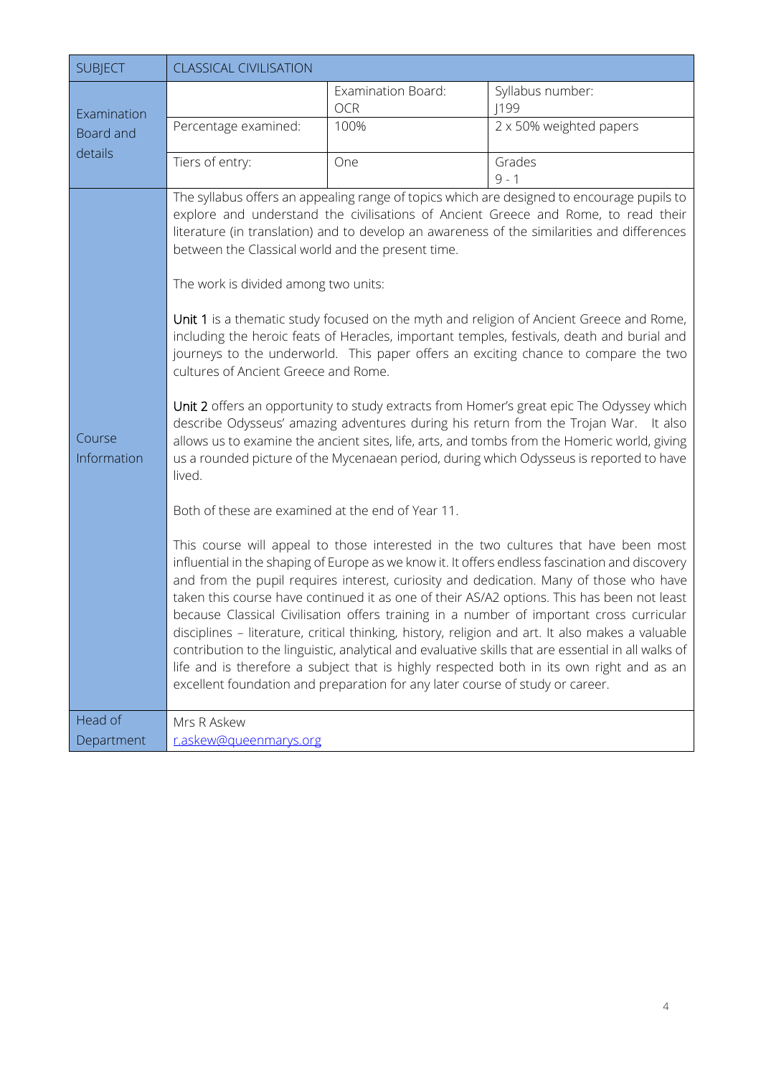<span id="page-4-0"></span>

| <b>SUBJECT</b>        | <b>CLASSICAL CIVILISATION</b>                                                                                                                                                                    |                                                                               |                                                                                                                                                                                                                                                                                                                                                                                                                                                                                                                                                                                                                                                                                                                                                                                                                                                                                                                                                                                                                                                                                                                                                                                                                                                                                                                                                                                                                                                                                                                                                                                                                                                                                                                                     |
|-----------------------|--------------------------------------------------------------------------------------------------------------------------------------------------------------------------------------------------|-------------------------------------------------------------------------------|-------------------------------------------------------------------------------------------------------------------------------------------------------------------------------------------------------------------------------------------------------------------------------------------------------------------------------------------------------------------------------------------------------------------------------------------------------------------------------------------------------------------------------------------------------------------------------------------------------------------------------------------------------------------------------------------------------------------------------------------------------------------------------------------------------------------------------------------------------------------------------------------------------------------------------------------------------------------------------------------------------------------------------------------------------------------------------------------------------------------------------------------------------------------------------------------------------------------------------------------------------------------------------------------------------------------------------------------------------------------------------------------------------------------------------------------------------------------------------------------------------------------------------------------------------------------------------------------------------------------------------------------------------------------------------------------------------------------------------------|
| Examination           |                                                                                                                                                                                                  | Examination Board:<br><b>OCR</b>                                              | Syllabus number:<br> 199                                                                                                                                                                                                                                                                                                                                                                                                                                                                                                                                                                                                                                                                                                                                                                                                                                                                                                                                                                                                                                                                                                                                                                                                                                                                                                                                                                                                                                                                                                                                                                                                                                                                                                            |
| Board and             | Percentage examined:                                                                                                                                                                             | 100%                                                                          | 2 x 50% weighted papers                                                                                                                                                                                                                                                                                                                                                                                                                                                                                                                                                                                                                                                                                                                                                                                                                                                                                                                                                                                                                                                                                                                                                                                                                                                                                                                                                                                                                                                                                                                                                                                                                                                                                                             |
| details               | Tiers of entry:                                                                                                                                                                                  | One                                                                           | Grades<br>$9 - 1$                                                                                                                                                                                                                                                                                                                                                                                                                                                                                                                                                                                                                                                                                                                                                                                                                                                                                                                                                                                                                                                                                                                                                                                                                                                                                                                                                                                                                                                                                                                                                                                                                                                                                                                   |
| Course<br>Information | between the Classical world and the present time.<br>The work is divided among two units:<br>cultures of Ancient Greece and Rome.<br>lived.<br>Both of these are examined at the end of Year 11. | excellent foundation and preparation for any later course of study or career. | The syllabus offers an appealing range of topics which are designed to encourage pupils to<br>explore and understand the civilisations of Ancient Greece and Rome, to read their<br>literature (in translation) and to develop an awareness of the similarities and differences<br>Unit 1 is a thematic study focused on the myth and religion of Ancient Greece and Rome,<br>including the heroic feats of Heracles, important temples, festivals, death and burial and<br>journeys to the underworld. This paper offers an exciting chance to compare the two<br>Unit 2 offers an opportunity to study extracts from Homer's great epic The Odyssey which<br>describe Odysseus' amazing adventures during his return from the Trojan War. It also<br>allows us to examine the ancient sites, life, arts, and tombs from the Homeric world, giving<br>us a rounded picture of the Mycenaean period, during which Odysseus is reported to have<br>This course will appeal to those interested in the two cultures that have been most<br>influential in the shaping of Europe as we know it. It offers endless fascination and discovery<br>and from the pupil requires interest, curiosity and dedication. Many of those who have<br>taken this course have continued it as one of their AS/A2 options. This has been not least<br>because Classical Civilisation offers training in a number of important cross curricular<br>disciplines - literature, critical thinking, history, religion and art. It also makes a valuable<br>contribution to the linguistic, analytical and evaluative skills that are essential in all walks of<br>life and is therefore a subject that is highly respected both in its own right and as an |
| Head of<br>Department | Mrs R Askew<br>r.askew@gueenmarys.org                                                                                                                                                            |                                                                               |                                                                                                                                                                                                                                                                                                                                                                                                                                                                                                                                                                                                                                                                                                                                                                                                                                                                                                                                                                                                                                                                                                                                                                                                                                                                                                                                                                                                                                                                                                                                                                                                                                                                                                                                     |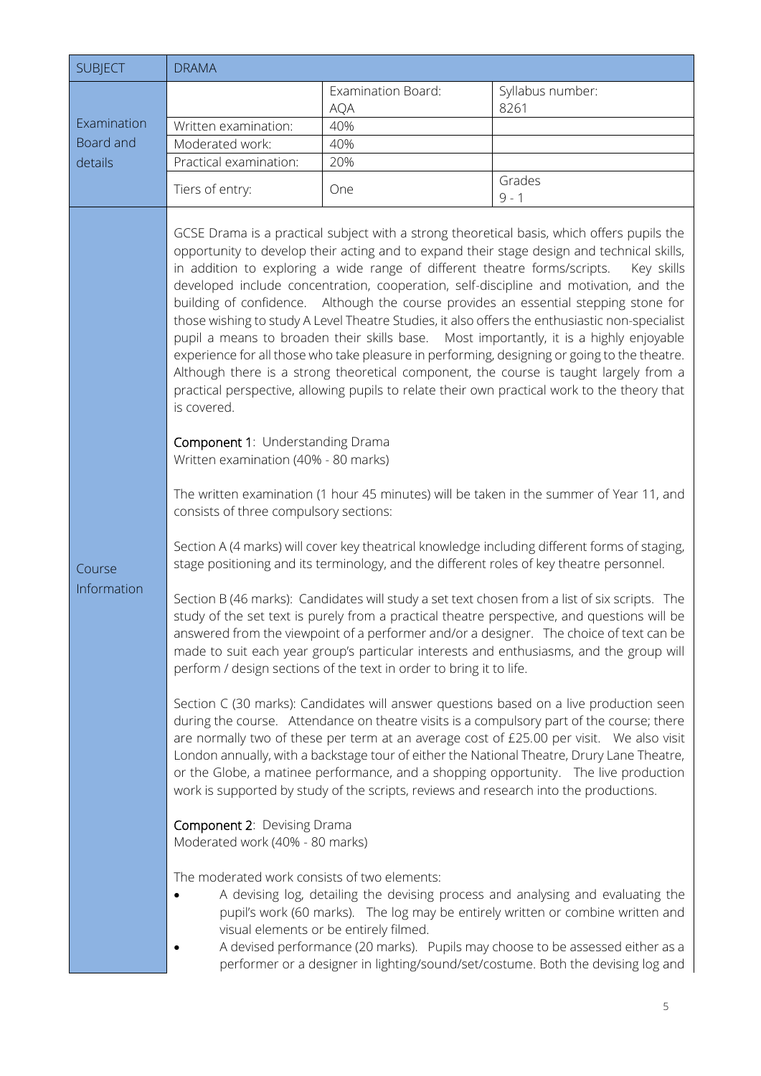<span id="page-5-0"></span>

| <b>SUBJECT</b>                      | <b>DRAMA</b>                                                                                                                                                                                                                                                      |                                                                                                                                                                                                                                                                                     |                                                                                                                                                                                                                                                                                                                                                                                                                                                                                                                                                                                                                                                                                                                                                                                                                                                                                                                                                                                                                                                                                                                                                                                                                                                                                                                                                                                                                                                                                                                                                                                                                                                                                                                                                                                                                                                                                                                                                                                                                                                                                                                                                                                                                                                                                                                                                                                  |
|-------------------------------------|-------------------------------------------------------------------------------------------------------------------------------------------------------------------------------------------------------------------------------------------------------------------|-------------------------------------------------------------------------------------------------------------------------------------------------------------------------------------------------------------------------------------------------------------------------------------|----------------------------------------------------------------------------------------------------------------------------------------------------------------------------------------------------------------------------------------------------------------------------------------------------------------------------------------------------------------------------------------------------------------------------------------------------------------------------------------------------------------------------------------------------------------------------------------------------------------------------------------------------------------------------------------------------------------------------------------------------------------------------------------------------------------------------------------------------------------------------------------------------------------------------------------------------------------------------------------------------------------------------------------------------------------------------------------------------------------------------------------------------------------------------------------------------------------------------------------------------------------------------------------------------------------------------------------------------------------------------------------------------------------------------------------------------------------------------------------------------------------------------------------------------------------------------------------------------------------------------------------------------------------------------------------------------------------------------------------------------------------------------------------------------------------------------------------------------------------------------------------------------------------------------------------------------------------------------------------------------------------------------------------------------------------------------------------------------------------------------------------------------------------------------------------------------------------------------------------------------------------------------------------------------------------------------------------------------------------------------------|
|                                     |                                                                                                                                                                                                                                                                   | Examination Board:                                                                                                                                                                                                                                                                  | Syllabus number:                                                                                                                                                                                                                                                                                                                                                                                                                                                                                                                                                                                                                                                                                                                                                                                                                                                                                                                                                                                                                                                                                                                                                                                                                                                                                                                                                                                                                                                                                                                                                                                                                                                                                                                                                                                                                                                                                                                                                                                                                                                                                                                                                                                                                                                                                                                                                                 |
| Examination<br>Board and<br>details | Written examination:                                                                                                                                                                                                                                              | <b>AQA</b><br>40%                                                                                                                                                                                                                                                                   | 8261                                                                                                                                                                                                                                                                                                                                                                                                                                                                                                                                                                                                                                                                                                                                                                                                                                                                                                                                                                                                                                                                                                                                                                                                                                                                                                                                                                                                                                                                                                                                                                                                                                                                                                                                                                                                                                                                                                                                                                                                                                                                                                                                                                                                                                                                                                                                                                             |
|                                     | Moderated work:                                                                                                                                                                                                                                                   | 40%                                                                                                                                                                                                                                                                                 |                                                                                                                                                                                                                                                                                                                                                                                                                                                                                                                                                                                                                                                                                                                                                                                                                                                                                                                                                                                                                                                                                                                                                                                                                                                                                                                                                                                                                                                                                                                                                                                                                                                                                                                                                                                                                                                                                                                                                                                                                                                                                                                                                                                                                                                                                                                                                                                  |
|                                     | Practical examination:                                                                                                                                                                                                                                            | 20%                                                                                                                                                                                                                                                                                 |                                                                                                                                                                                                                                                                                                                                                                                                                                                                                                                                                                                                                                                                                                                                                                                                                                                                                                                                                                                                                                                                                                                                                                                                                                                                                                                                                                                                                                                                                                                                                                                                                                                                                                                                                                                                                                                                                                                                                                                                                                                                                                                                                                                                                                                                                                                                                                                  |
|                                     | Tiers of entry:                                                                                                                                                                                                                                                   | One                                                                                                                                                                                                                                                                                 | Grades<br>$9 - 1$                                                                                                                                                                                                                                                                                                                                                                                                                                                                                                                                                                                                                                                                                                                                                                                                                                                                                                                                                                                                                                                                                                                                                                                                                                                                                                                                                                                                                                                                                                                                                                                                                                                                                                                                                                                                                                                                                                                                                                                                                                                                                                                                                                                                                                                                                                                                                                |
| Course<br>Information               | is covered.<br><b>Component 1: Understanding Drama</b><br>Written examination (40% - 80 marks)<br>consists of three compulsory sections:<br><b>Component 2: Devising Drama</b><br>Moderated work (40% - 80 marks)<br>The moderated work consists of two elements: | in addition to exploring a wide range of different theatre forms/scripts.<br>perform / design sections of the text in order to bring it to life.<br>work is supported by study of the scripts, reviews and research into the productions.<br>visual elements or be entirely filmed. | GCSE Drama is a practical subject with a strong theoretical basis, which offers pupils the<br>opportunity to develop their acting and to expand their stage design and technical skills,<br>Key skills<br>developed include concentration, cooperation, self-discipline and motivation, and the<br>building of confidence. Although the course provides an essential stepping stone for<br>those wishing to study A Level Theatre Studies, it also offers the enthusiastic non-specialist<br>pupil a means to broaden their skills base.  Most importantly, it is a highly enjoyable<br>experience for all those who take pleasure in performing, designing or going to the theatre.<br>Although there is a strong theoretical component, the course is taught largely from a<br>practical perspective, allowing pupils to relate their own practical work to the theory that<br>The written examination (1 hour 45 minutes) will be taken in the summer of Year 11, and<br>Section A (4 marks) will cover key theatrical knowledge including different forms of staging,<br>stage positioning and its terminology, and the different roles of key theatre personnel.<br>Section B (46 marks): Candidates will study a set text chosen from a list of six scripts. The<br>study of the set text is purely from a practical theatre perspective, and questions will be<br>answered from the viewpoint of a performer and/or a designer. The choice of text can be<br>made to suit each year group's particular interests and enthusiasms, and the group will<br>Section C (30 marks): Candidates will answer questions based on a live production seen<br>during the course. Attendance on theatre visits is a compulsory part of the course; there<br>are normally two of these per term at an average cost of £25.00 per visit. We also visit<br>London annually, with a backstage tour of either the National Theatre, Drury Lane Theatre,<br>or the Globe, a matinee performance, and a shopping opportunity. The live production<br>A devising log, detailing the devising process and analysing and evaluating the<br>pupil's work (60 marks). The log may be entirely written or combine written and<br>A devised performance (20 marks). Pupils may choose to be assessed either as a<br>performer or a designer in lighting/sound/set/costume. Both the devising log and |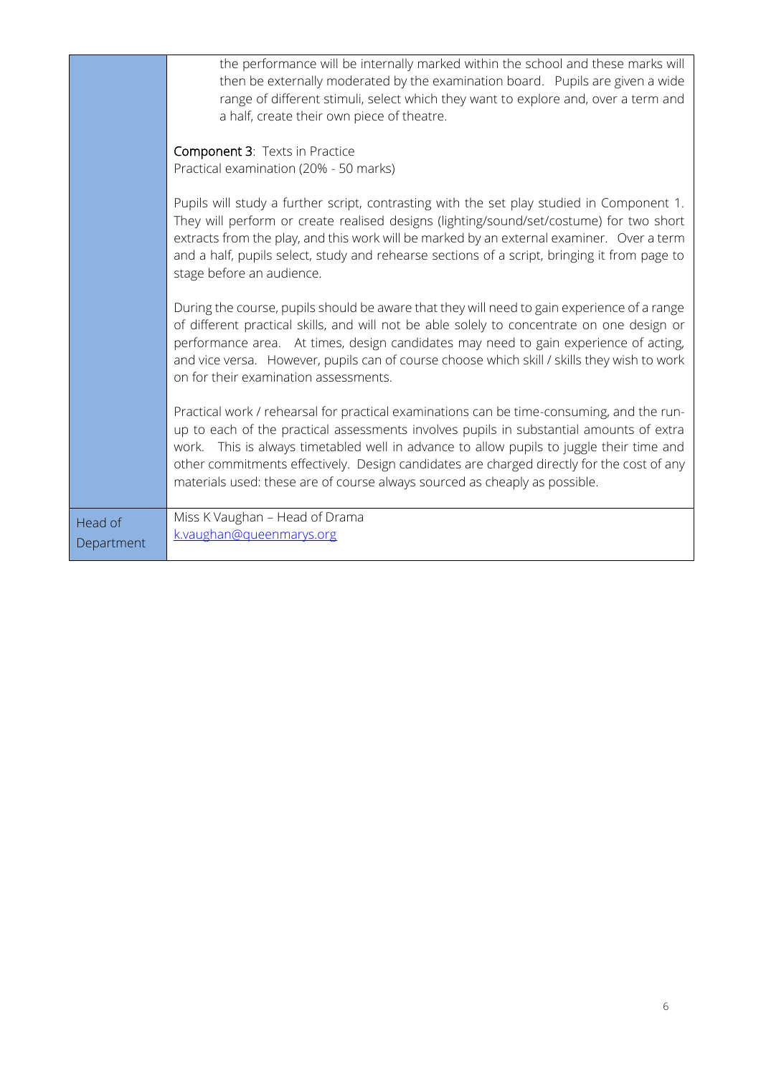|                       | the performance will be internally marked within the school and these marks will<br>then be externally moderated by the examination board. Pupils are given a wide<br>range of different stimuli, select which they want to explore and, over a term and<br>a half, create their own piece of theatre.                                                                                                                                                      |
|-----------------------|-------------------------------------------------------------------------------------------------------------------------------------------------------------------------------------------------------------------------------------------------------------------------------------------------------------------------------------------------------------------------------------------------------------------------------------------------------------|
|                       | Component 3: Texts in Practice<br>Practical examination (20% - 50 marks)                                                                                                                                                                                                                                                                                                                                                                                    |
|                       | Pupils will study a further script, contrasting with the set play studied in Component 1.<br>They will perform or create realised designs (lighting/sound/set/costume) for two short<br>extracts from the play, and this work will be marked by an external examiner. Over a term<br>and a half, pupils select, study and rehearse sections of a script, bringing it from page to<br>stage before an audience.                                              |
|                       | During the course, pupils should be aware that they will need to gain experience of a range<br>of different practical skills, and will not be able solely to concentrate on one design or<br>performance area. At times, design candidates may need to gain experience of acting,<br>and vice versa. However, pupils can of course choose which skill / skills they wish to work<br>on for their examination assessments.                                   |
|                       | Practical work / rehearsal for practical examinations can be time-consuming, and the run-<br>up to each of the practical assessments involves pupils in substantial amounts of extra<br>work. This is always timetabled well in advance to allow pupils to juggle their time and<br>other commitments effectively. Design candidates are charged directly for the cost of any<br>materials used: these are of course always sourced as cheaply as possible. |
| Head of<br>Department | Miss K Vaughan - Head of Drama<br>k.vaughan@queenmarys.org                                                                                                                                                                                                                                                                                                                                                                                                  |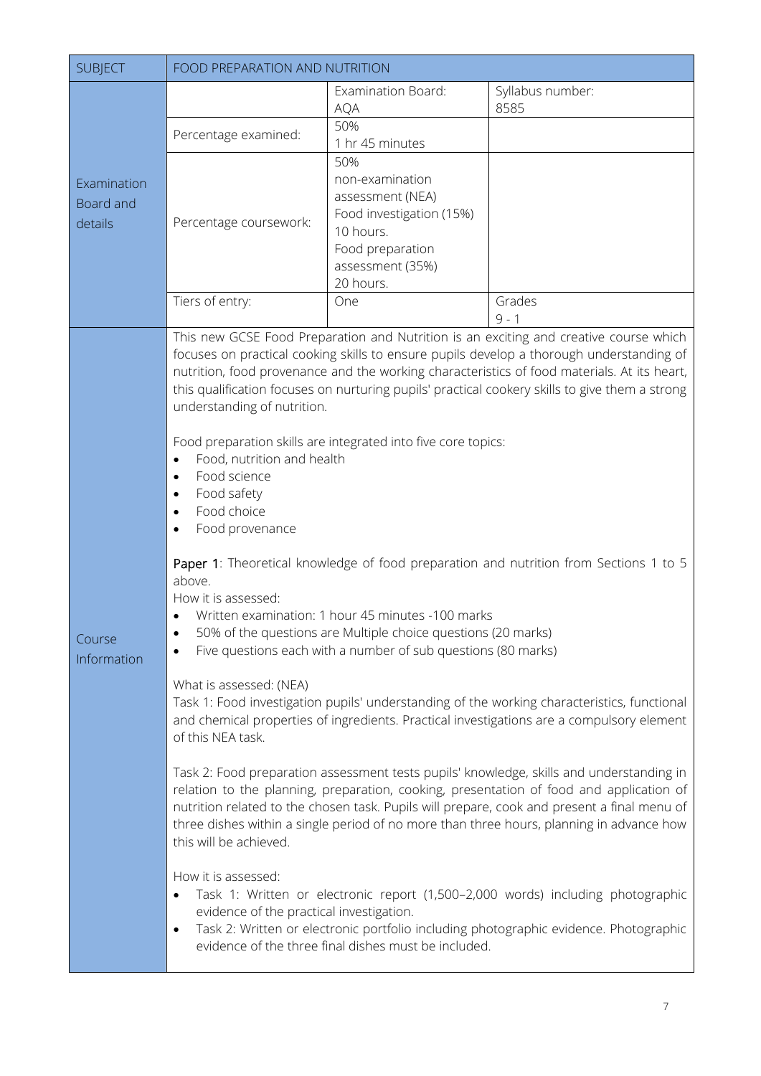<span id="page-7-0"></span>

| <b>Examination Board:</b><br>Syllabus number:<br>8585<br><b>AQA</b><br>50%<br>Percentage examined:<br>1 hr 45 minutes<br>50%<br>non-examination<br>Examination<br>assessment (NEA)<br>Board and<br>Food investigation (15%)<br>Percentage coursework:<br>details<br>10 hours.<br>Food preparation<br>assessment (35%)<br>20 hours.<br>Tiers of entry:<br>Grades<br>One<br>$9 - 1$                                                                                                                                                                                                                                                                                                                                                                                                                                                                                                                                                                                                                                                                                                                                                                                                                                                 | <b>SUBJECT</b>        | FOOD PREPARATION AND NUTRITION                                                                                                                                                                                                                                                                                                                                                                                    |  |  |
|-----------------------------------------------------------------------------------------------------------------------------------------------------------------------------------------------------------------------------------------------------------------------------------------------------------------------------------------------------------------------------------------------------------------------------------------------------------------------------------------------------------------------------------------------------------------------------------------------------------------------------------------------------------------------------------------------------------------------------------------------------------------------------------------------------------------------------------------------------------------------------------------------------------------------------------------------------------------------------------------------------------------------------------------------------------------------------------------------------------------------------------------------------------------------------------------------------------------------------------|-----------------------|-------------------------------------------------------------------------------------------------------------------------------------------------------------------------------------------------------------------------------------------------------------------------------------------------------------------------------------------------------------------------------------------------------------------|--|--|
|                                                                                                                                                                                                                                                                                                                                                                                                                                                                                                                                                                                                                                                                                                                                                                                                                                                                                                                                                                                                                                                                                                                                                                                                                                   |                       |                                                                                                                                                                                                                                                                                                                                                                                                                   |  |  |
|                                                                                                                                                                                                                                                                                                                                                                                                                                                                                                                                                                                                                                                                                                                                                                                                                                                                                                                                                                                                                                                                                                                                                                                                                                   |                       |                                                                                                                                                                                                                                                                                                                                                                                                                   |  |  |
|                                                                                                                                                                                                                                                                                                                                                                                                                                                                                                                                                                                                                                                                                                                                                                                                                                                                                                                                                                                                                                                                                                                                                                                                                                   |                       |                                                                                                                                                                                                                                                                                                                                                                                                                   |  |  |
|                                                                                                                                                                                                                                                                                                                                                                                                                                                                                                                                                                                                                                                                                                                                                                                                                                                                                                                                                                                                                                                                                                                                                                                                                                   |                       |                                                                                                                                                                                                                                                                                                                                                                                                                   |  |  |
| Food preparation skills are integrated into five core topics:<br>Food, nutrition and health<br>Food science<br>Food safety<br>Food choice<br>$\bullet$<br>Food provenance                                                                                                                                                                                                                                                                                                                                                                                                                                                                                                                                                                                                                                                                                                                                                                                                                                                                                                                                                                                                                                                         | Course<br>Information | This new GCSE Food Preparation and Nutrition is an exciting and creative course which<br>focuses on practical cooking skills to ensure pupils develop a thorough understanding of<br>nutrition, food provenance and the working characteristics of food materials. At its heart,<br>this qualification focuses on nurturing pupils' practical cookery skills to give them a strong<br>understanding of nutrition. |  |  |
| Paper 1: Theoretical knowledge of food preparation and nutrition from Sections 1 to 5<br>above.<br>How it is assessed:<br>Written examination: 1 hour 45 minutes -100 marks<br>50% of the questions are Multiple choice questions (20 marks)<br>Five questions each with a number of sub questions (80 marks)<br>What is assessed: (NEA)<br>Task 1: Food investigation pupils' understanding of the working characteristics, functional<br>and chemical properties of ingredients. Practical investigations are a compulsory element<br>of this NEA task.<br>Task 2: Food preparation assessment tests pupils' knowledge, skills and understanding in<br>relation to the planning, preparation, cooking, presentation of food and application of<br>nutrition related to the chosen task. Pupils will prepare, cook and present a final menu of<br>three dishes within a single period of no more than three hours, planning in advance how<br>this will be achieved.<br>How it is assessed:<br>Task 1: Written or electronic report (1,500-2,000 words) including photographic<br>evidence of the practical investigation.<br>Task 2: Written or electronic portfolio including photographic evidence. Photographic<br>$\bullet$ |                       |                                                                                                                                                                                                                                                                                                                                                                                                                   |  |  |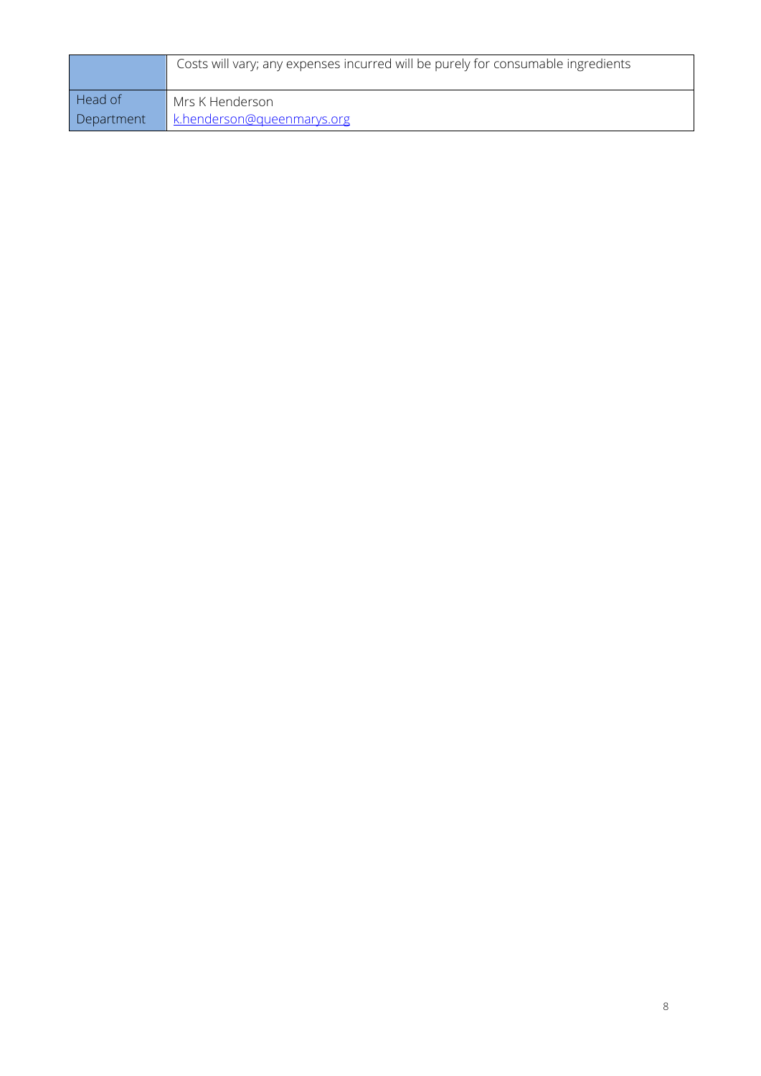|            | Costs will vary; any expenses incurred will be purely for consumable ingredients |
|------------|----------------------------------------------------------------------------------|
| Head of    | Mrs K Henderson                                                                  |
| Department | k.henderson@queenmarys.org                                                       |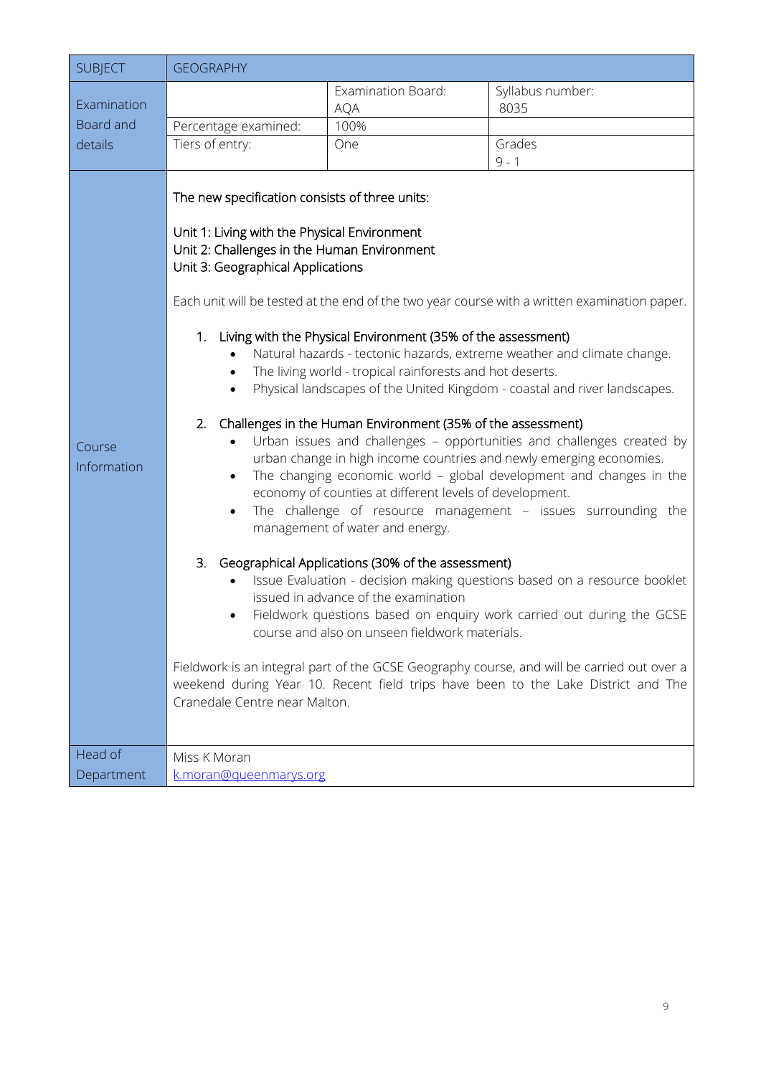<span id="page-9-0"></span>

| <b>SUBJECT</b>        | <b>GEOGRAPHY</b>                                                                                                                                                                                                                                                                          |                                                                                                                                                                                                                                                                                                                                                                                                                                      |                                                                                                                                                                                                                                                                                                                                                                                                                                                                                                                                                                                                                                                                                                                                                                                                                                                                                      |
|-----------------------|-------------------------------------------------------------------------------------------------------------------------------------------------------------------------------------------------------------------------------------------------------------------------------------------|--------------------------------------------------------------------------------------------------------------------------------------------------------------------------------------------------------------------------------------------------------------------------------------------------------------------------------------------------------------------------------------------------------------------------------------|--------------------------------------------------------------------------------------------------------------------------------------------------------------------------------------------------------------------------------------------------------------------------------------------------------------------------------------------------------------------------------------------------------------------------------------------------------------------------------------------------------------------------------------------------------------------------------------------------------------------------------------------------------------------------------------------------------------------------------------------------------------------------------------------------------------------------------------------------------------------------------------|
| Examination           |                                                                                                                                                                                                                                                                                           | Examination Board:                                                                                                                                                                                                                                                                                                                                                                                                                   | Syllabus number:                                                                                                                                                                                                                                                                                                                                                                                                                                                                                                                                                                                                                                                                                                                                                                                                                                                                     |
| Board and             | Percentage examined:                                                                                                                                                                                                                                                                      | <b>AQA</b><br>100%                                                                                                                                                                                                                                                                                                                                                                                                                   | 8035                                                                                                                                                                                                                                                                                                                                                                                                                                                                                                                                                                                                                                                                                                                                                                                                                                                                                 |
| details               | Tiers of entry:                                                                                                                                                                                                                                                                           | One                                                                                                                                                                                                                                                                                                                                                                                                                                  | Grades                                                                                                                                                                                                                                                                                                                                                                                                                                                                                                                                                                                                                                                                                                                                                                                                                                                                               |
|                       |                                                                                                                                                                                                                                                                                           |                                                                                                                                                                                                                                                                                                                                                                                                                                      | $9 - 1$                                                                                                                                                                                                                                                                                                                                                                                                                                                                                                                                                                                                                                                                                                                                                                                                                                                                              |
| Course<br>Information | The new specification consists of three units:<br>Unit 1: Living with the Physical Environment<br>Unit 2: Challenges in the Human Environment<br>Unit 3: Geographical Applications<br>1.<br>$\bullet$<br>$\bullet$<br>2.<br>$\bullet$<br>$\bullet$<br>3.<br>Cranedale Centre near Malton. | Living with the Physical Environment (35% of the assessment)<br>The living world - tropical rainforests and hot deserts.<br>Challenges in the Human Environment (35% of the assessment)<br>economy of counties at different levels of development.<br>management of water and energy.<br>Geographical Applications (30% of the assessment)<br>issued in advance of the examination<br>course and also on unseen fieldwork materials. | Each unit will be tested at the end of the two year course with a written examination paper.<br>Natural hazards - tectonic hazards, extreme weather and climate change.<br>Physical landscapes of the United Kingdom - coastal and river landscapes.<br>Urban issues and challenges - opportunities and challenges created by<br>urban change in high income countries and newly emerging economies.<br>The changing economic world - global development and changes in the<br>The challenge of resource management - issues surrounding the<br>Issue Evaluation - decision making questions based on a resource booklet<br>Fieldwork questions based on enquiry work carried out during the GCSE<br>Fieldwork is an integral part of the GCSE Geography course, and will be carried out over a<br>weekend during Year 10. Recent field trips have been to the Lake District and The |
| Head of               | Miss K Moran                                                                                                                                                                                                                                                                              |                                                                                                                                                                                                                                                                                                                                                                                                                                      |                                                                                                                                                                                                                                                                                                                                                                                                                                                                                                                                                                                                                                                                                                                                                                                                                                                                                      |
| Department            | k.moran@queenmarys.org                                                                                                                                                                                                                                                                    |                                                                                                                                                                                                                                                                                                                                                                                                                                      |                                                                                                                                                                                                                                                                                                                                                                                                                                                                                                                                                                                                                                                                                                                                                                                                                                                                                      |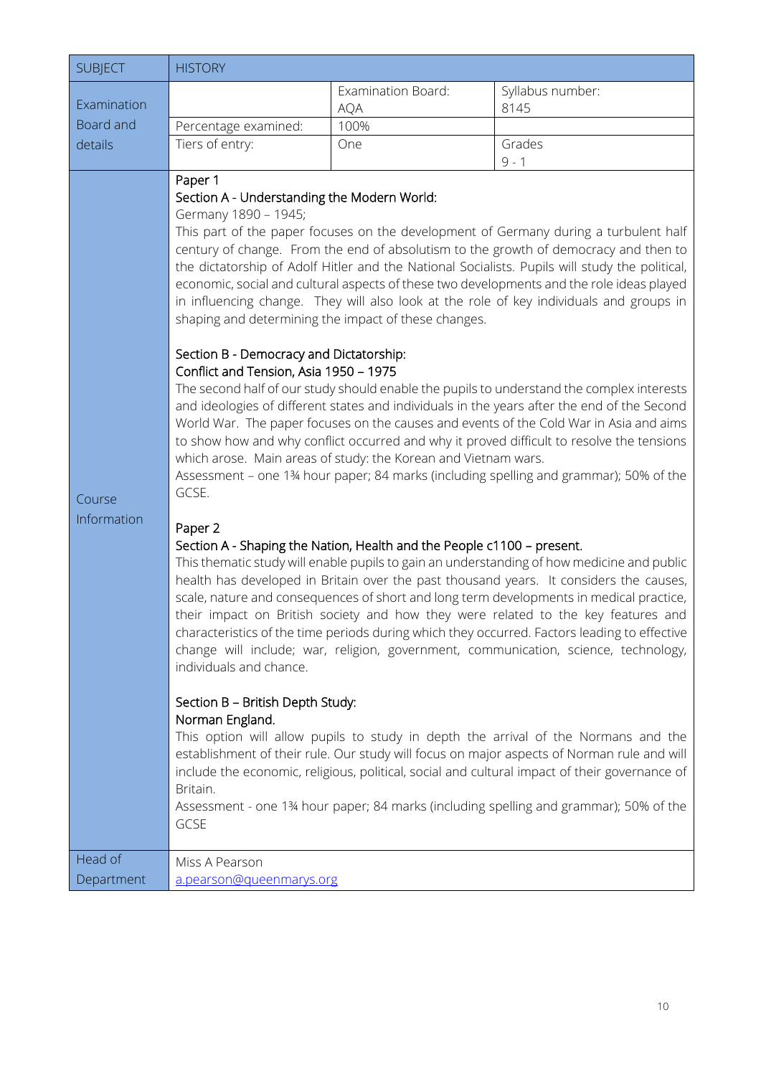<span id="page-10-0"></span>

| <b>SUBJECT</b>                   | <b>HISTORY</b>                                                                                                                                                                                                                                                                                                                                               |                                                                                                                                          |                                                                                                                                                                                                                                                                                                                                                                                                                                                                                                                                                                                                                                                                                                                                                                                                                                                                                                                                                                                                                                                                                                                                                                                                                                                                                                                                                                                                                                                                                                                                                                                                                                                                                                                                                                                                                                                                                                   |
|----------------------------------|--------------------------------------------------------------------------------------------------------------------------------------------------------------------------------------------------------------------------------------------------------------------------------------------------------------------------------------------------------------|------------------------------------------------------------------------------------------------------------------------------------------|---------------------------------------------------------------------------------------------------------------------------------------------------------------------------------------------------------------------------------------------------------------------------------------------------------------------------------------------------------------------------------------------------------------------------------------------------------------------------------------------------------------------------------------------------------------------------------------------------------------------------------------------------------------------------------------------------------------------------------------------------------------------------------------------------------------------------------------------------------------------------------------------------------------------------------------------------------------------------------------------------------------------------------------------------------------------------------------------------------------------------------------------------------------------------------------------------------------------------------------------------------------------------------------------------------------------------------------------------------------------------------------------------------------------------------------------------------------------------------------------------------------------------------------------------------------------------------------------------------------------------------------------------------------------------------------------------------------------------------------------------------------------------------------------------------------------------------------------------------------------------------------------------|
| Examination                      |                                                                                                                                                                                                                                                                                                                                                              | Examination Board:<br><b>AQA</b>                                                                                                         | Syllabus number:<br>8145                                                                                                                                                                                                                                                                                                                                                                                                                                                                                                                                                                                                                                                                                                                                                                                                                                                                                                                                                                                                                                                                                                                                                                                                                                                                                                                                                                                                                                                                                                                                                                                                                                                                                                                                                                                                                                                                          |
| Board and                        | Percentage examined:                                                                                                                                                                                                                                                                                                                                         | 100%                                                                                                                                     |                                                                                                                                                                                                                                                                                                                                                                                                                                                                                                                                                                                                                                                                                                                                                                                                                                                                                                                                                                                                                                                                                                                                                                                                                                                                                                                                                                                                                                                                                                                                                                                                                                                                                                                                                                                                                                                                                                   |
| details                          | Tiers of entry:                                                                                                                                                                                                                                                                                                                                              | One                                                                                                                                      | Grades                                                                                                                                                                                                                                                                                                                                                                                                                                                                                                                                                                                                                                                                                                                                                                                                                                                                                                                                                                                                                                                                                                                                                                                                                                                                                                                                                                                                                                                                                                                                                                                                                                                                                                                                                                                                                                                                                            |
|                                  | Paper 1                                                                                                                                                                                                                                                                                                                                                      |                                                                                                                                          | $9 - 1$                                                                                                                                                                                                                                                                                                                                                                                                                                                                                                                                                                                                                                                                                                                                                                                                                                                                                                                                                                                                                                                                                                                                                                                                                                                                                                                                                                                                                                                                                                                                                                                                                                                                                                                                                                                                                                                                                           |
| Course<br>Information<br>Head of | Section A - Understanding the Modern World:<br>Germany 1890 - 1945;<br>shaping and determining the impact of these changes.<br>Section B - Democracy and Dictatorship:<br>Conflict and Tension, Asia 1950 - 1975<br>GCSE.<br>Paper 2<br>individuals and chance.<br>Section B - British Depth Study:<br>Norman England.<br>Britain.<br>GCSE<br>Miss A Pearson | which arose. Main areas of study: the Korean and Vietnam wars.<br>Section A - Shaping the Nation, Health and the People c1100 - present. | This part of the paper focuses on the development of Germany during a turbulent half<br>century of change. From the end of absolutism to the growth of democracy and then to<br>the dictatorship of Adolf Hitler and the National Socialists. Pupils will study the political,<br>economic, social and cultural aspects of these two developments and the role ideas played<br>in influencing change. They will also look at the role of key individuals and groups in<br>The second half of our study should enable the pupils to understand the complex interests<br>and ideologies of different states and individuals in the years after the end of the Second<br>World War. The paper focuses on the causes and events of the Cold War in Asia and aims<br>to show how and why conflict occurred and why it proved difficult to resolve the tensions<br>Assessment - one 134 hour paper; 84 marks (including spelling and grammar); 50% of the<br>This thematic study will enable pupils to gain an understanding of how medicine and public<br>health has developed in Britain over the past thousand years. It considers the causes,<br>scale, nature and consequences of short and long term developments in medical practice,<br>their impact on British society and how they were related to the key features and<br>characteristics of the time periods during which they occurred. Factors leading to effective<br>change will include; war, religion, government, communication, science, technology,<br>This option will allow pupils to study in depth the arrival of the Normans and the<br>establishment of their rule. Our study will focus on major aspects of Norman rule and will<br>include the economic, religious, political, social and cultural impact of their governance of<br>Assessment - one 134 hour paper; 84 marks (including spelling and grammar); 50% of the |
| Department                       | a.pearson@queenmarys.org                                                                                                                                                                                                                                                                                                                                     |                                                                                                                                          |                                                                                                                                                                                                                                                                                                                                                                                                                                                                                                                                                                                                                                                                                                                                                                                                                                                                                                                                                                                                                                                                                                                                                                                                                                                                                                                                                                                                                                                                                                                                                                                                                                                                                                                                                                                                                                                                                                   |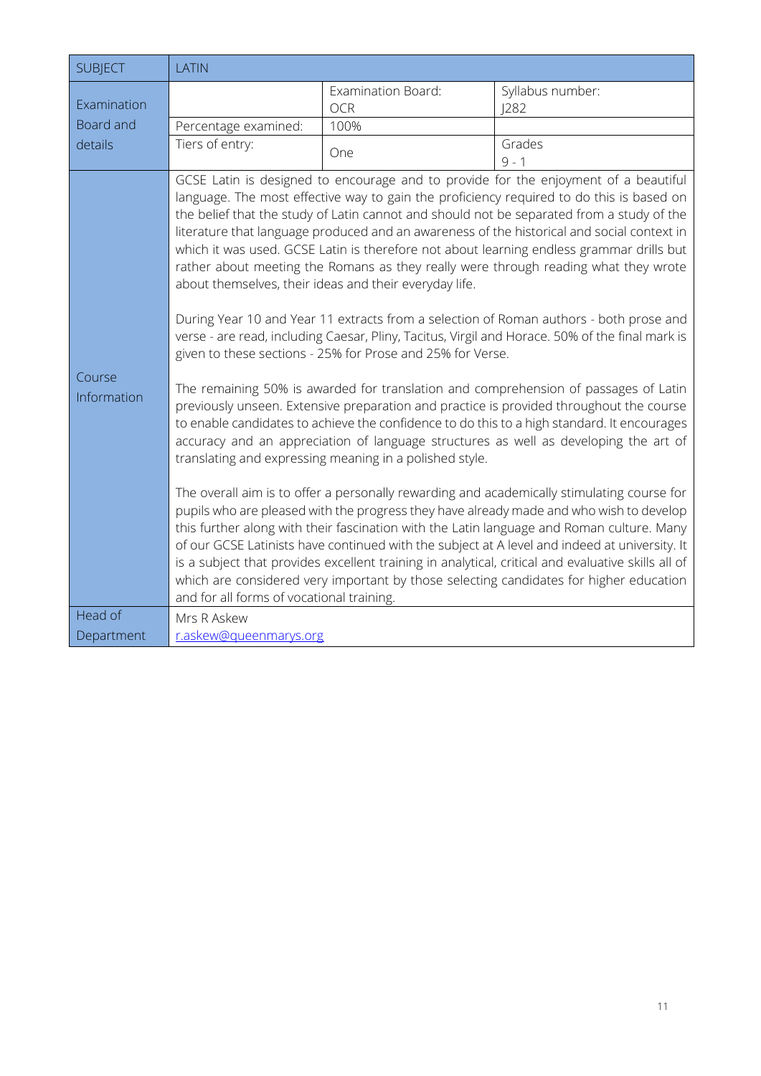<span id="page-11-0"></span>

| <b>SUBJECT</b>        | LATIN                                     |                                                                                                                                                                                 |                                                                                                                                                                                                                                                                                                                                                                                                                                                                                                                                                                                                                                                                                                                                                                                                                                                                                                                                                                                                                                                                                                                                                                                                                                                                                                                                                                                                                                                                                                                                                                                                                                                                                                                            |
|-----------------------|-------------------------------------------|---------------------------------------------------------------------------------------------------------------------------------------------------------------------------------|----------------------------------------------------------------------------------------------------------------------------------------------------------------------------------------------------------------------------------------------------------------------------------------------------------------------------------------------------------------------------------------------------------------------------------------------------------------------------------------------------------------------------------------------------------------------------------------------------------------------------------------------------------------------------------------------------------------------------------------------------------------------------------------------------------------------------------------------------------------------------------------------------------------------------------------------------------------------------------------------------------------------------------------------------------------------------------------------------------------------------------------------------------------------------------------------------------------------------------------------------------------------------------------------------------------------------------------------------------------------------------------------------------------------------------------------------------------------------------------------------------------------------------------------------------------------------------------------------------------------------------------------------------------------------------------------------------------------------|
| Examination           |                                           | Examination Board:<br><b>OCR</b>                                                                                                                                                | Syllabus number:<br> 282                                                                                                                                                                                                                                                                                                                                                                                                                                                                                                                                                                                                                                                                                                                                                                                                                                                                                                                                                                                                                                                                                                                                                                                                                                                                                                                                                                                                                                                                                                                                                                                                                                                                                                   |
| Board and             | Percentage examined:                      | 100%                                                                                                                                                                            |                                                                                                                                                                                                                                                                                                                                                                                                                                                                                                                                                                                                                                                                                                                                                                                                                                                                                                                                                                                                                                                                                                                                                                                                                                                                                                                                                                                                                                                                                                                                                                                                                                                                                                                            |
| details               | Tiers of entry:                           | One                                                                                                                                                                             | Grades<br>$9 - 1$                                                                                                                                                                                                                                                                                                                                                                                                                                                                                                                                                                                                                                                                                                                                                                                                                                                                                                                                                                                                                                                                                                                                                                                                                                                                                                                                                                                                                                                                                                                                                                                                                                                                                                          |
| Course<br>Information | and for all forms of vocational training. | about themselves, their ideas and their everyday life.<br>given to these sections - 25% for Prose and 25% for Verse.<br>translating and expressing meaning in a polished style. | GCSE Latin is designed to encourage and to provide for the enjoyment of a beautiful<br>language. The most effective way to gain the proficiency required to do this is based on<br>the belief that the study of Latin cannot and should not be separated from a study of the<br>literature that language produced and an awareness of the historical and social context in<br>which it was used. GCSE Latin is therefore not about learning endless grammar drills but<br>rather about meeting the Romans as they really were through reading what they wrote<br>During Year 10 and Year 11 extracts from a selection of Roman authors - both prose and<br>verse - are read, including Caesar, Pliny, Tacitus, Virgil and Horace. 50% of the final mark is<br>The remaining 50% is awarded for translation and comprehension of passages of Latin<br>previously unseen. Extensive preparation and practice is provided throughout the course<br>to enable candidates to achieve the confidence to do this to a high standard. It encourages<br>accuracy and an appreciation of language structures as well as developing the art of<br>The overall aim is to offer a personally rewarding and academically stimulating course for<br>pupils who are pleased with the progress they have already made and who wish to develop<br>this further along with their fascination with the Latin language and Roman culture. Many<br>of our GCSE Latinists have continued with the subject at A level and indeed at university. It<br>is a subject that provides excellent training in analytical, critical and evaluative skills all of<br>which are considered very important by those selecting candidates for higher education |
| Head of               | Mrs R Askew                               |                                                                                                                                                                                 |                                                                                                                                                                                                                                                                                                                                                                                                                                                                                                                                                                                                                                                                                                                                                                                                                                                                                                                                                                                                                                                                                                                                                                                                                                                                                                                                                                                                                                                                                                                                                                                                                                                                                                                            |
| Department            | r.askew@gueenmarys.org                    |                                                                                                                                                                                 |                                                                                                                                                                                                                                                                                                                                                                                                                                                                                                                                                                                                                                                                                                                                                                                                                                                                                                                                                                                                                                                                                                                                                                                                                                                                                                                                                                                                                                                                                                                                                                                                                                                                                                                            |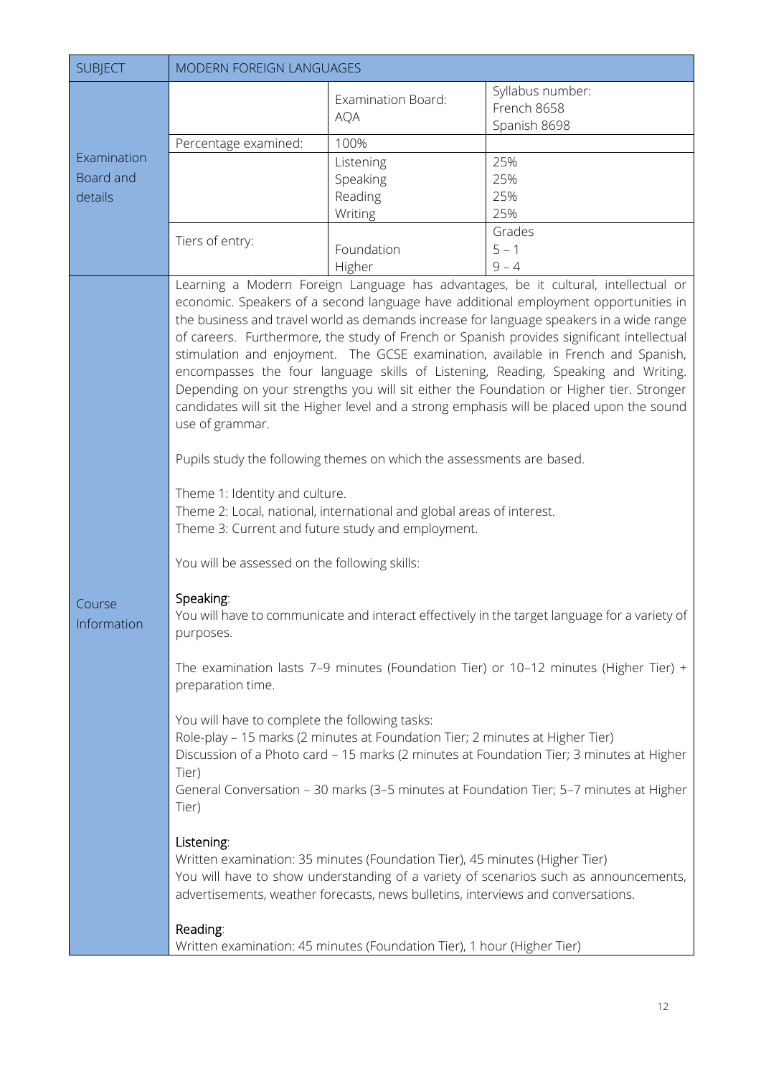<span id="page-12-0"></span>

| <b>SUBJECT</b>        | MODERN FOREIGN LANGUAGES                                                                                                                                                                                                                                                                             |                                                                                                                                                                                                                                                                                                                                                                                                                                                                               |                                                                                                                                                                                                                                                                                                                                                                                                                                                                                                                                                                                                                                                                                                                                                                                                                                                                                                                                                                                                                                                                                                                     |
|-----------------------|------------------------------------------------------------------------------------------------------------------------------------------------------------------------------------------------------------------------------------------------------------------------------------------------------|-------------------------------------------------------------------------------------------------------------------------------------------------------------------------------------------------------------------------------------------------------------------------------------------------------------------------------------------------------------------------------------------------------------------------------------------------------------------------------|---------------------------------------------------------------------------------------------------------------------------------------------------------------------------------------------------------------------------------------------------------------------------------------------------------------------------------------------------------------------------------------------------------------------------------------------------------------------------------------------------------------------------------------------------------------------------------------------------------------------------------------------------------------------------------------------------------------------------------------------------------------------------------------------------------------------------------------------------------------------------------------------------------------------------------------------------------------------------------------------------------------------------------------------------------------------------------------------------------------------|
|                       |                                                                                                                                                                                                                                                                                                      | Examination Board:<br><b>AQA</b>                                                                                                                                                                                                                                                                                                                                                                                                                                              | Syllabus number:<br>French 8658                                                                                                                                                                                                                                                                                                                                                                                                                                                                                                                                                                                                                                                                                                                                                                                                                                                                                                                                                                                                                                                                                     |
|                       |                                                                                                                                                                                                                                                                                                      |                                                                                                                                                                                                                                                                                                                                                                                                                                                                               | Spanish 8698                                                                                                                                                                                                                                                                                                                                                                                                                                                                                                                                                                                                                                                                                                                                                                                                                                                                                                                                                                                                                                                                                                        |
| Examination           | Percentage examined:                                                                                                                                                                                                                                                                                 | 100%                                                                                                                                                                                                                                                                                                                                                                                                                                                                          | 25%                                                                                                                                                                                                                                                                                                                                                                                                                                                                                                                                                                                                                                                                                                                                                                                                                                                                                                                                                                                                                                                                                                                 |
| Board and             |                                                                                                                                                                                                                                                                                                      | Listening<br>Speaking                                                                                                                                                                                                                                                                                                                                                                                                                                                         | 25%                                                                                                                                                                                                                                                                                                                                                                                                                                                                                                                                                                                                                                                                                                                                                                                                                                                                                                                                                                                                                                                                                                                 |
| details               |                                                                                                                                                                                                                                                                                                      | Reading                                                                                                                                                                                                                                                                                                                                                                                                                                                                       | 25%                                                                                                                                                                                                                                                                                                                                                                                                                                                                                                                                                                                                                                                                                                                                                                                                                                                                                                                                                                                                                                                                                                                 |
|                       |                                                                                                                                                                                                                                                                                                      | Writing                                                                                                                                                                                                                                                                                                                                                                                                                                                                       | 25%                                                                                                                                                                                                                                                                                                                                                                                                                                                                                                                                                                                                                                                                                                                                                                                                                                                                                                                                                                                                                                                                                                                 |
|                       | Tiers of entry:                                                                                                                                                                                                                                                                                      |                                                                                                                                                                                                                                                                                                                                                                                                                                                                               | Grades                                                                                                                                                                                                                                                                                                                                                                                                                                                                                                                                                                                                                                                                                                                                                                                                                                                                                                                                                                                                                                                                                                              |
|                       |                                                                                                                                                                                                                                                                                                      | Foundation                                                                                                                                                                                                                                                                                                                                                                                                                                                                    | $5 - 1$                                                                                                                                                                                                                                                                                                                                                                                                                                                                                                                                                                                                                                                                                                                                                                                                                                                                                                                                                                                                                                                                                                             |
|                       |                                                                                                                                                                                                                                                                                                      | Higher                                                                                                                                                                                                                                                                                                                                                                                                                                                                        | $9 - 4$<br>Learning a Modern Foreign Language has advantages, be it cultural, intellectual or                                                                                                                                                                                                                                                                                                                                                                                                                                                                                                                                                                                                                                                                                                                                                                                                                                                                                                                                                                                                                       |
| Course<br>Information | use of grammar.<br>Theme 1: Identity and culture.<br>Theme 3: Current and future study and employment.<br>You will be assessed on the following skills:<br>Speaking:<br>purposes.<br>preparation time.<br>You will have to complete the following tasks:<br>Tier)<br>Tier)<br>Listening:<br>Reading: | Pupils study the following themes on which the assessments are based.<br>Theme 2: Local, national, international and global areas of interest.<br>Role-play - 15 marks (2 minutes at Foundation Tier; 2 minutes at Higher Tier)<br>Written examination: 35 minutes (Foundation Tier), 45 minutes (Higher Tier)<br>advertisements, weather forecasts, news bulletins, interviews and conversations.<br>Written examination: 45 minutes (Foundation Tier), 1 hour (Higher Tier) | economic. Speakers of a second language have additional employment opportunities in<br>the business and travel world as demands increase for language speakers in a wide range<br>of careers. Furthermore, the study of French or Spanish provides significant intellectual<br>stimulation and enjoyment. The GCSE examination, available in French and Spanish,<br>encompasses the four language skills of Listening, Reading, Speaking and Writing.<br>Depending on your strengths you will sit either the Foundation or Higher tier. Stronger<br>candidates will sit the Higher level and a strong emphasis will be placed upon the sound<br>You will have to communicate and interact effectively in the target language for a variety of<br>The examination lasts 7-9 minutes (Foundation Tier) or 10-12 minutes (Higher Tier) +<br>Discussion of a Photo card - 15 marks (2 minutes at Foundation Tier; 3 minutes at Higher<br>General Conversation - 30 marks (3-5 minutes at Foundation Tier; 5-7 minutes at Higher<br>You will have to show understanding of a variety of scenarios such as announcements, |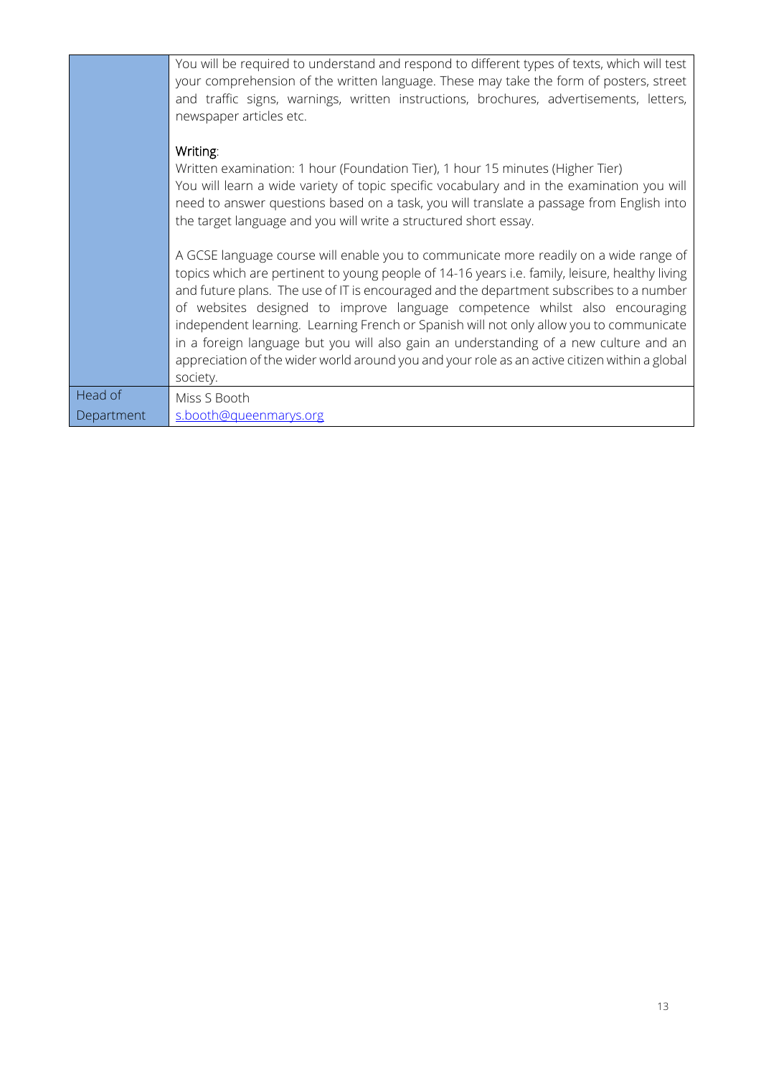|            | You will be required to understand and respond to different types of texts, which will test<br>your comprehension of the written language. These may take the form of posters, street<br>and traffic signs, warnings, written instructions, brochures, advertisements, letters,<br>newspaper articles etc.                                                                                                                                                                                                                                                                                                                                                         |
|------------|--------------------------------------------------------------------------------------------------------------------------------------------------------------------------------------------------------------------------------------------------------------------------------------------------------------------------------------------------------------------------------------------------------------------------------------------------------------------------------------------------------------------------------------------------------------------------------------------------------------------------------------------------------------------|
|            | Writing:<br>Written examination: 1 hour (Foundation Tier), 1 hour 15 minutes (Higher Tier)<br>You will learn a wide variety of topic specific vocabulary and in the examination you will<br>need to answer questions based on a task, you will translate a passage from English into<br>the target language and you will write a structured short essay.                                                                                                                                                                                                                                                                                                           |
|            | A GCSE language course will enable you to communicate more readily on a wide range of<br>topics which are pertinent to young people of 14-16 years i.e. family, leisure, healthy living<br>and future plans. The use of IT is encouraged and the department subscribes to a number<br>of websites designed to improve language competence whilst also encouraging<br>independent learning. Learning French or Spanish will not only allow you to communicate<br>in a foreign language but you will also gain an understanding of a new culture and an<br>appreciation of the wider world around you and your role as an active citizen within a global<br>society. |
| Head of    | Miss S Booth                                                                                                                                                                                                                                                                                                                                                                                                                                                                                                                                                                                                                                                       |
| Department | s.booth@queenmarys.org                                                                                                                                                                                                                                                                                                                                                                                                                                                                                                                                                                                                                                             |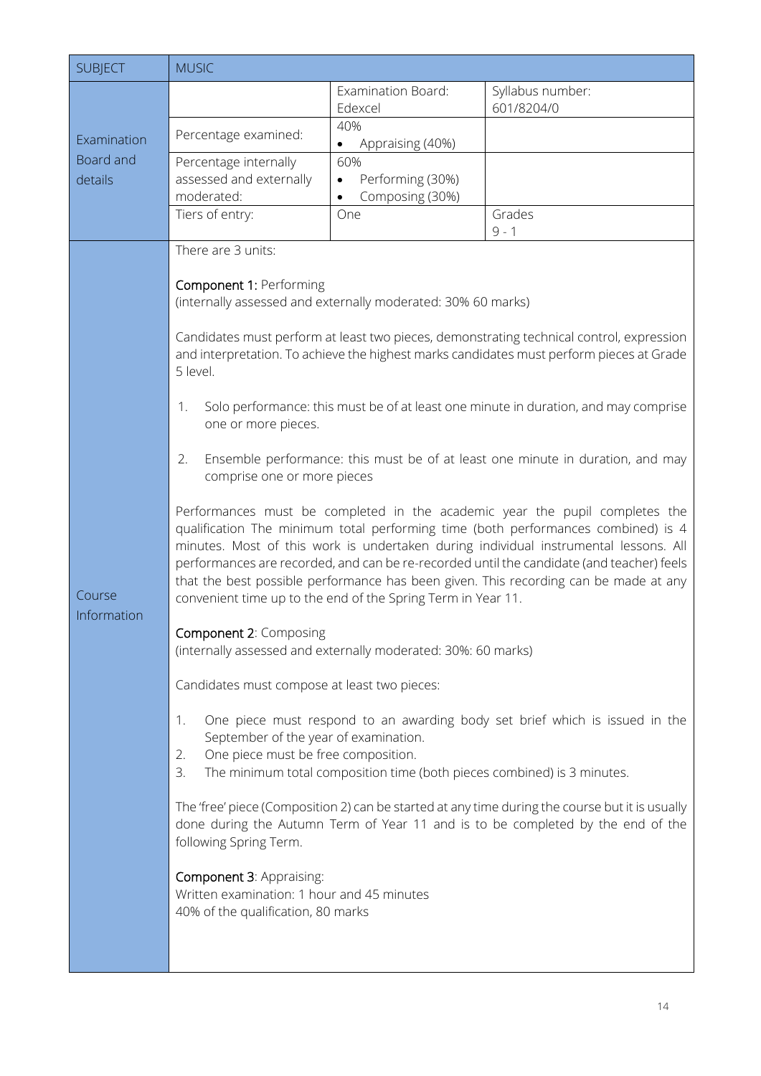<span id="page-14-0"></span>

| <b>SUBJECT</b>                      | <b>MUSIC</b>                                                                                                                                                                                                                                                                                                                                                                                                                                                                                                                                                                                                                                              |                                                                             |                                                                                                                                                                                                                                                                                                                                                                                                                                                                                                                                                                                                                                                                                                                                                                                                                                                                                                                                                                                                                                                                                     |
|-------------------------------------|-----------------------------------------------------------------------------------------------------------------------------------------------------------------------------------------------------------------------------------------------------------------------------------------------------------------------------------------------------------------------------------------------------------------------------------------------------------------------------------------------------------------------------------------------------------------------------------------------------------------------------------------------------------|-----------------------------------------------------------------------------|-------------------------------------------------------------------------------------------------------------------------------------------------------------------------------------------------------------------------------------------------------------------------------------------------------------------------------------------------------------------------------------------------------------------------------------------------------------------------------------------------------------------------------------------------------------------------------------------------------------------------------------------------------------------------------------------------------------------------------------------------------------------------------------------------------------------------------------------------------------------------------------------------------------------------------------------------------------------------------------------------------------------------------------------------------------------------------------|
| Examination<br>Board and<br>details |                                                                                                                                                                                                                                                                                                                                                                                                                                                                                                                                                                                                                                                           | Examination Board:<br>Edexcel                                               | Syllabus number:<br>601/8204/0                                                                                                                                                                                                                                                                                                                                                                                                                                                                                                                                                                                                                                                                                                                                                                                                                                                                                                                                                                                                                                                      |
|                                     | Percentage examined:                                                                                                                                                                                                                                                                                                                                                                                                                                                                                                                                                                                                                                      | 40%<br>Appraising (40%)<br>٠                                                |                                                                                                                                                                                                                                                                                                                                                                                                                                                                                                                                                                                                                                                                                                                                                                                                                                                                                                                                                                                                                                                                                     |
|                                     | Percentage internally<br>assessed and externally<br>moderated:<br>Tiers of entry:                                                                                                                                                                                                                                                                                                                                                                                                                                                                                                                                                                         | 60%<br>Performing (30%)<br>$\bullet$<br>Composing (30%)<br>$\bullet$<br>One | Grades                                                                                                                                                                                                                                                                                                                                                                                                                                                                                                                                                                                                                                                                                                                                                                                                                                                                                                                                                                                                                                                                              |
|                                     |                                                                                                                                                                                                                                                                                                                                                                                                                                                                                                                                                                                                                                                           |                                                                             | $9 - 1$                                                                                                                                                                                                                                                                                                                                                                                                                                                                                                                                                                                                                                                                                                                                                                                                                                                                                                                                                                                                                                                                             |
| Course<br>Information               | There are 3 units:<br>Component 1: Performing<br>(internally assessed and externally moderated: 30% 60 marks)<br>5 level.<br>1.<br>one or more pieces.<br>2.<br>comprise one or more pieces<br>convenient time up to the end of the Spring Term in Year 11.<br><b>Component 2: Composing</b><br>(internally assessed and externally moderated: 30%: 60 marks)<br>Candidates must compose at least two pieces:<br>1.<br>September of the year of examination.<br>One piece must be free composition.<br>2.<br>3.<br>following Spring Term.<br>Component 3: Appraising:<br>Written examination: 1 hour and 45 minutes<br>40% of the qualification, 80 marks | The minimum total composition time (both pieces combined) is 3 minutes.     | Candidates must perform at least two pieces, demonstrating technical control, expression<br>and interpretation. To achieve the highest marks candidates must perform pieces at Grade<br>Solo performance: this must be of at least one minute in duration, and may comprise<br>Ensemble performance: this must be of at least one minute in duration, and may<br>Performances must be completed in the academic year the pupil completes the<br>qualification The minimum total performing time (both performances combined) is 4<br>minutes. Most of this work is undertaken during individual instrumental lessons. All<br>performances are recorded, and can be re-recorded until the candidate (and teacher) feels<br>that the best possible performance has been given. This recording can be made at any<br>One piece must respond to an awarding body set brief which is issued in the<br>The 'free' piece (Composition 2) can be started at any time during the course but it is usually<br>done during the Autumn Term of Year 11 and is to be completed by the end of the |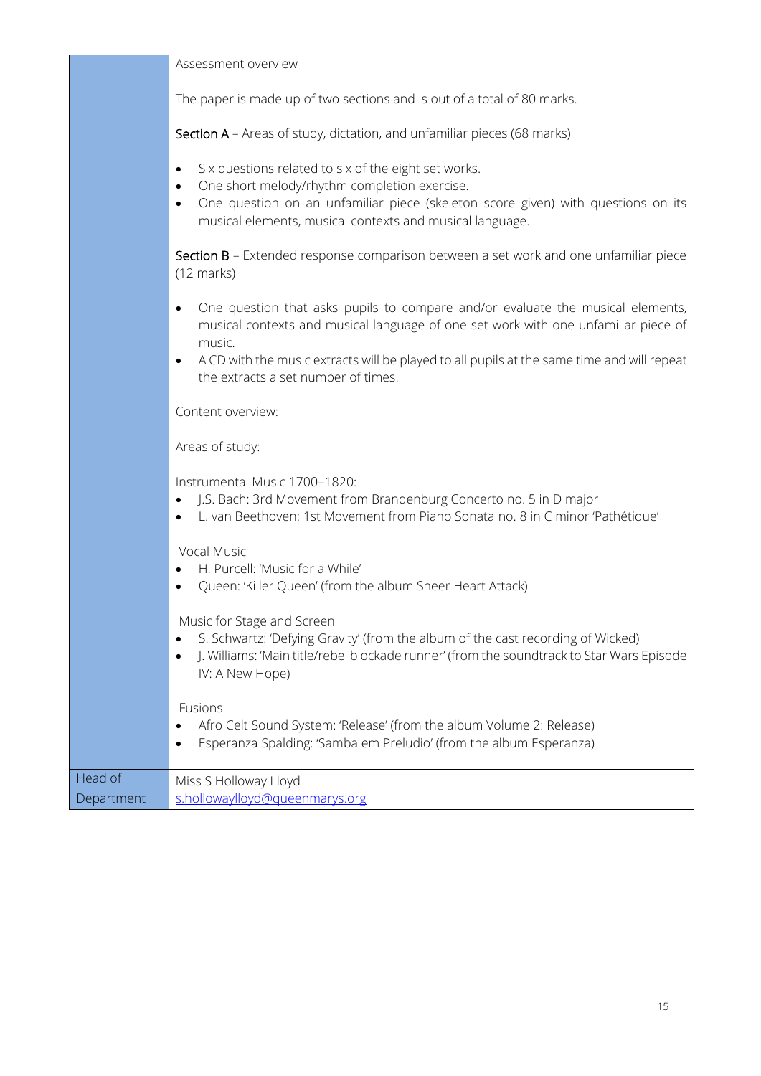|                       | Assessment overview                                                                                                                                                                                                                                                                                                 |
|-----------------------|---------------------------------------------------------------------------------------------------------------------------------------------------------------------------------------------------------------------------------------------------------------------------------------------------------------------|
|                       | The paper is made up of two sections and is out of a total of 80 marks.                                                                                                                                                                                                                                             |
|                       | Section A - Areas of study, dictation, and unfamiliar pieces (68 marks)                                                                                                                                                                                                                                             |
|                       | Six questions related to six of the eight set works.<br>$\bullet$<br>One short melody/rhythm completion exercise.<br>$\bullet$<br>One question on an unfamiliar piece (skeleton score given) with questions on its<br>$\bullet$<br>musical elements, musical contexts and musical language.                         |
|                       | Section B - Extended response comparison between a set work and one unfamiliar piece<br>$(12 \text{ marks})$                                                                                                                                                                                                        |
|                       | One question that asks pupils to compare and/or evaluate the musical elements,<br>musical contexts and musical language of one set work with one unfamiliar piece of<br>music.<br>A CD with the music extracts will be played to all pupils at the same time and will repeat<br>the extracts a set number of times. |
|                       | Content overview:                                                                                                                                                                                                                                                                                                   |
|                       | Areas of study:                                                                                                                                                                                                                                                                                                     |
|                       | Instrumental Music 1700-1820:<br>J.S. Bach: 3rd Movement from Brandenburg Concerto no. 5 in D major<br>L. van Beethoven: 1st Movement from Piano Sonata no. 8 in C minor 'Pathétique'                                                                                                                               |
|                       | Vocal Music<br>H. Purcell: 'Music for a While'<br>Queen: 'Killer Queen' (from the album Sheer Heart Attack)                                                                                                                                                                                                         |
|                       | Music for Stage and Screen<br>S. Schwartz: 'Defying Gravity' (from the album of the cast recording of Wicked)<br>J. Williams: 'Main title/rebel blockade runner' (from the soundtrack to Star Wars Episode<br>$\bullet$<br>IV: A New Hope)                                                                          |
|                       | Fusions<br>Afro Celt Sound System: 'Release' (from the album Volume 2: Release)<br>Esperanza Spalding: 'Samba em Preludio' (from the album Esperanza)                                                                                                                                                               |
| Head of<br>Department | Miss S Holloway Lloyd<br>s.hollowaylloyd@queenmarys.org                                                                                                                                                                                                                                                             |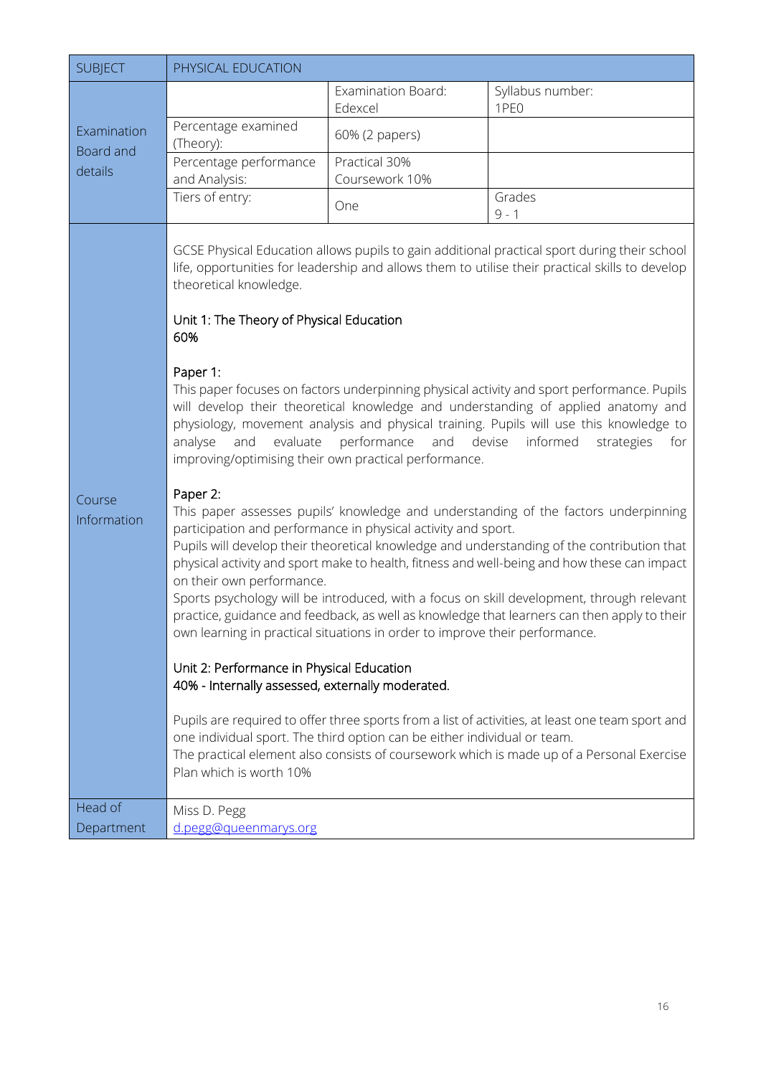<span id="page-16-0"></span>

| <b>SUBJECT</b>                      | PHYSICAL EDUCATION                                                                                                                                                                                                                                                           |                                                                                                                                                                                                                                                                                                               |                                                                                                                                                                                                                                                                                                                                                                                                                                                                                                                                                                                                                                                                                                                                                                                                                                                                                                                                                                                                                                                                                                                                                                                                          |
|-------------------------------------|------------------------------------------------------------------------------------------------------------------------------------------------------------------------------------------------------------------------------------------------------------------------------|---------------------------------------------------------------------------------------------------------------------------------------------------------------------------------------------------------------------------------------------------------------------------------------------------------------|----------------------------------------------------------------------------------------------------------------------------------------------------------------------------------------------------------------------------------------------------------------------------------------------------------------------------------------------------------------------------------------------------------------------------------------------------------------------------------------------------------------------------------------------------------------------------------------------------------------------------------------------------------------------------------------------------------------------------------------------------------------------------------------------------------------------------------------------------------------------------------------------------------------------------------------------------------------------------------------------------------------------------------------------------------------------------------------------------------------------------------------------------------------------------------------------------------|
| Examination<br>Board and<br>details |                                                                                                                                                                                                                                                                              | Examination Board:<br>Edexcel                                                                                                                                                                                                                                                                                 | Syllabus number:<br>1PE <sub>0</sub>                                                                                                                                                                                                                                                                                                                                                                                                                                                                                                                                                                                                                                                                                                                                                                                                                                                                                                                                                                                                                                                                                                                                                                     |
|                                     | Percentage examined<br>(Theory):                                                                                                                                                                                                                                             | 60% (2 papers)                                                                                                                                                                                                                                                                                                |                                                                                                                                                                                                                                                                                                                                                                                                                                                                                                                                                                                                                                                                                                                                                                                                                                                                                                                                                                                                                                                                                                                                                                                                          |
|                                     | Percentage performance<br>and Analysis:                                                                                                                                                                                                                                      | Practical 30%<br>Coursework 10%                                                                                                                                                                                                                                                                               |                                                                                                                                                                                                                                                                                                                                                                                                                                                                                                                                                                                                                                                                                                                                                                                                                                                                                                                                                                                                                                                                                                                                                                                                          |
|                                     | Tiers of entry:                                                                                                                                                                                                                                                              | One                                                                                                                                                                                                                                                                                                           | Grades<br>$9 - 1$                                                                                                                                                                                                                                                                                                                                                                                                                                                                                                                                                                                                                                                                                                                                                                                                                                                                                                                                                                                                                                                                                                                                                                                        |
| Course<br>Information               | theoretical knowledge.<br>Unit 1: The Theory of Physical Education<br>60%<br>Paper 1:<br>analyse<br>and<br>Paper 2:<br>on their own performance.<br>Unit 2: Performance in Physical Education<br>40% - Internally assessed, externally moderated.<br>Plan which is worth 10% | evaluate performance and<br>improving/optimising their own practical performance.<br>participation and performance in physical activity and sport.<br>own learning in practical situations in order to improve their performance.<br>one individual sport. The third option can be either individual or team. | GCSE Physical Education allows pupils to gain additional practical sport during their school<br>life, opportunities for leadership and allows them to utilise their practical skills to develop<br>This paper focuses on factors underpinning physical activity and sport performance. Pupils<br>will develop their theoretical knowledge and understanding of applied anatomy and<br>physiology, movement analysis and physical training. Pupils will use this knowledge to<br>devise<br>informed<br>strategies<br>for<br>This paper assesses pupils' knowledge and understanding of the factors underpinning<br>Pupils will develop their theoretical knowledge and understanding of the contribution that<br>physical activity and sport make to health, fitness and well-being and how these can impact<br>Sports psychology will be introduced, with a focus on skill development, through relevant<br>practice, guidance and feedback, as well as knowledge that learners can then apply to their<br>Pupils are required to offer three sports from a list of activities, at least one team sport and<br>The practical element also consists of coursework which is made up of a Personal Exercise |
| Head of<br>Department               | Miss D. Pegg<br>d.pegg@queenmarys.org                                                                                                                                                                                                                                        |                                                                                                                                                                                                                                                                                                               |                                                                                                                                                                                                                                                                                                                                                                                                                                                                                                                                                                                                                                                                                                                                                                                                                                                                                                                                                                                                                                                                                                                                                                                                          |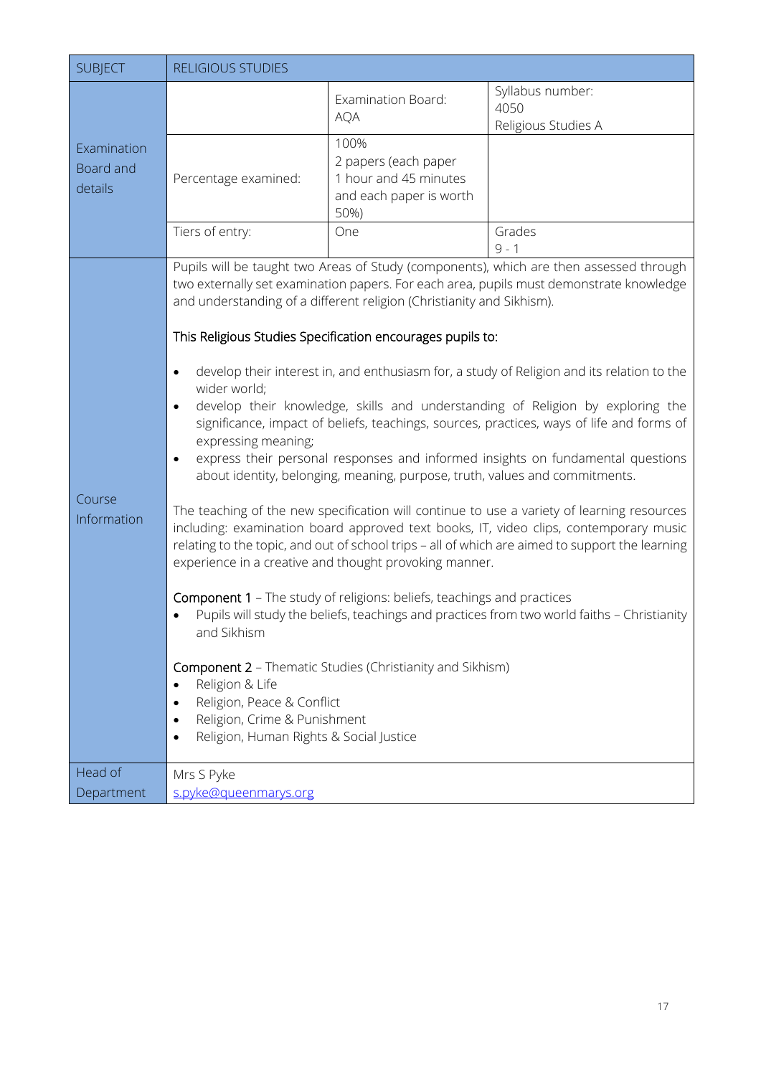<span id="page-17-0"></span>

| <b>SUBJECT</b>                      | <b>RELIGIOUS STUDIES</b>                                                                                                                                                                                              |                                                                                                                                                                                                                                                                                                                                                                                                                            |                                                                                                                                                                                                                                                                                                                                                                                                                                                                                                                                                                                                                                                                                                                                                                                                                                                                                                                                            |
|-------------------------------------|-----------------------------------------------------------------------------------------------------------------------------------------------------------------------------------------------------------------------|----------------------------------------------------------------------------------------------------------------------------------------------------------------------------------------------------------------------------------------------------------------------------------------------------------------------------------------------------------------------------------------------------------------------------|--------------------------------------------------------------------------------------------------------------------------------------------------------------------------------------------------------------------------------------------------------------------------------------------------------------------------------------------------------------------------------------------------------------------------------------------------------------------------------------------------------------------------------------------------------------------------------------------------------------------------------------------------------------------------------------------------------------------------------------------------------------------------------------------------------------------------------------------------------------------------------------------------------------------------------------------|
| Examination<br>Board and<br>details |                                                                                                                                                                                                                       | <b>Examination Board:</b><br><b>AQA</b>                                                                                                                                                                                                                                                                                                                                                                                    | Syllabus number:<br>4050<br>Religious Studies A                                                                                                                                                                                                                                                                                                                                                                                                                                                                                                                                                                                                                                                                                                                                                                                                                                                                                            |
|                                     | Percentage examined:                                                                                                                                                                                                  | 100%<br>2 papers (each paper<br>1 hour and 45 minutes<br>and each paper is worth<br>50%)                                                                                                                                                                                                                                                                                                                                   |                                                                                                                                                                                                                                                                                                                                                                                                                                                                                                                                                                                                                                                                                                                                                                                                                                                                                                                                            |
|                                     | Tiers of entry:                                                                                                                                                                                                       | One                                                                                                                                                                                                                                                                                                                                                                                                                        | Grades<br>$9 - 1$                                                                                                                                                                                                                                                                                                                                                                                                                                                                                                                                                                                                                                                                                                                                                                                                                                                                                                                          |
| Course<br>Information               | $\bullet$<br>wider world;<br>$\bullet$<br>expressing meaning;<br>$\bullet$<br>and Sikhism<br>Religion & Life<br>Religion, Peace & Conflict<br>Religion, Crime & Punishment<br>Religion, Human Rights & Social Justice | and understanding of a different religion (Christianity and Sikhism).<br>This Religious Studies Specification encourages pupils to:<br>about identity, belonging, meaning, purpose, truth, values and commitments.<br>experience in a creative and thought provoking manner.<br><b>Component 1</b> - The study of religions: beliefs, teachings and practices<br>Component 2 - Thematic Studies (Christianity and Sikhism) | Pupils will be taught two Areas of Study (components), which are then assessed through<br>two externally set examination papers. For each area, pupils must demonstrate knowledge<br>develop their interest in, and enthusiasm for, a study of Religion and its relation to the<br>develop their knowledge, skills and understanding of Religion by exploring the<br>significance, impact of beliefs, teachings, sources, practices, ways of life and forms of<br>express their personal responses and informed insights on fundamental questions<br>The teaching of the new specification will continue to use a variety of learning resources<br>including: examination board approved text books, IT, video clips, contemporary music<br>relating to the topic, and out of school trips - all of which are aimed to support the learning<br>Pupils will study the beliefs, teachings and practices from two world faiths - Christianity |
| Head of<br>Department               | Mrs S Pyke<br>s.pyke@gueenmarys.org                                                                                                                                                                                   |                                                                                                                                                                                                                                                                                                                                                                                                                            |                                                                                                                                                                                                                                                                                                                                                                                                                                                                                                                                                                                                                                                                                                                                                                                                                                                                                                                                            |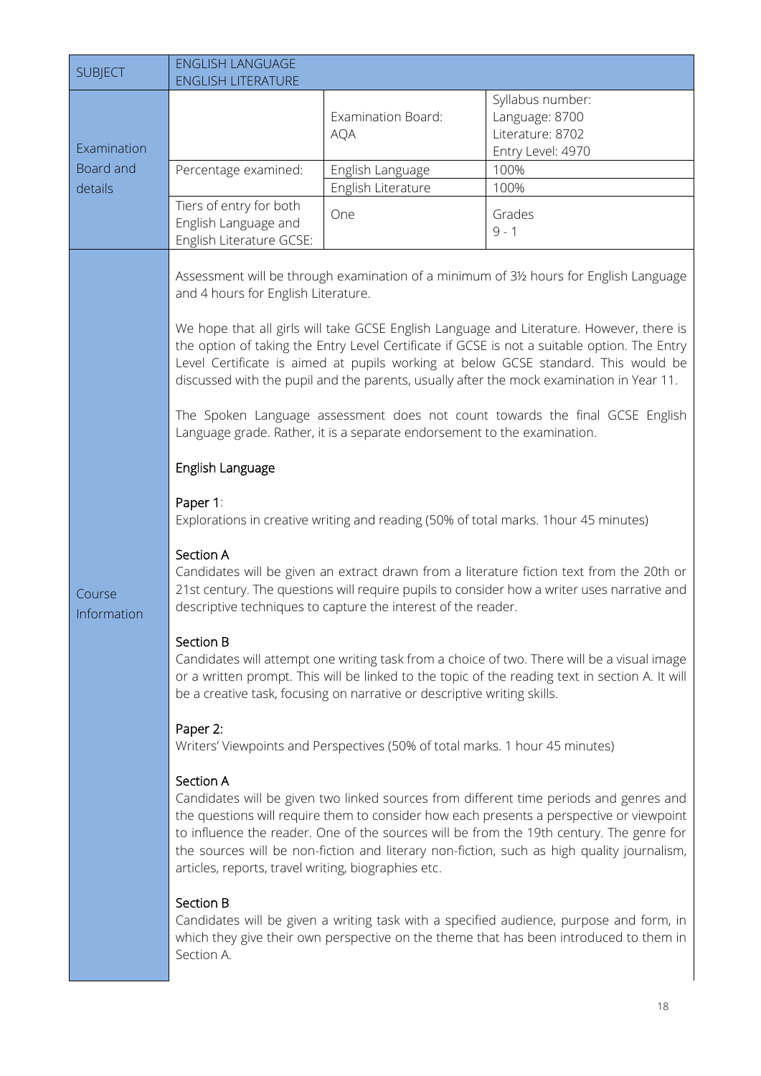<span id="page-18-1"></span><span id="page-18-0"></span>

| <b>SUBJECT</b>                      | <b>ENGLISH LANGUAGE</b><br><b>ENGLISH LITERATURE</b>                                                                                                                                                     |                                                                                                                                                                                                                                                                                                       |                                                                                                                                                                                                                                                                                                                                                                                                                                                                                                                                                                                                                                                                                                                                                                                                                                                                                                                                                                                                                                                                                                                                                                                                                                                                                                                                                                                                                                                                                                                                                                                                                 |
|-------------------------------------|----------------------------------------------------------------------------------------------------------------------------------------------------------------------------------------------------------|-------------------------------------------------------------------------------------------------------------------------------------------------------------------------------------------------------------------------------------------------------------------------------------------------------|-----------------------------------------------------------------------------------------------------------------------------------------------------------------------------------------------------------------------------------------------------------------------------------------------------------------------------------------------------------------------------------------------------------------------------------------------------------------------------------------------------------------------------------------------------------------------------------------------------------------------------------------------------------------------------------------------------------------------------------------------------------------------------------------------------------------------------------------------------------------------------------------------------------------------------------------------------------------------------------------------------------------------------------------------------------------------------------------------------------------------------------------------------------------------------------------------------------------------------------------------------------------------------------------------------------------------------------------------------------------------------------------------------------------------------------------------------------------------------------------------------------------------------------------------------------------------------------------------------------------|
| Examination<br>Board and<br>details | Percentage examined:                                                                                                                                                                                     | Examination Board:<br><b>AQA</b><br>English Language<br>English Literature                                                                                                                                                                                                                            | Syllabus number:<br>Language: 8700<br>Literature: 8702<br>Entry Level: 4970<br>100%<br>100%                                                                                                                                                                                                                                                                                                                                                                                                                                                                                                                                                                                                                                                                                                                                                                                                                                                                                                                                                                                                                                                                                                                                                                                                                                                                                                                                                                                                                                                                                                                     |
|                                     | Tiers of entry for both<br>English Language and<br>English Literature GCSE:                                                                                                                              | One                                                                                                                                                                                                                                                                                                   | Grades<br>$9 - 1$                                                                                                                                                                                                                                                                                                                                                                                                                                                                                                                                                                                                                                                                                                                                                                                                                                                                                                                                                                                                                                                                                                                                                                                                                                                                                                                                                                                                                                                                                                                                                                                               |
| Course<br>Information               | and 4 hours for English Literature.<br>English Language<br>Paper 1:<br>Section A<br>Section B<br>Paper 2:<br>Section A<br>articles, reports, travel writing, biographies etc.<br>Section B<br>Section A. | Language grade. Rather, it is a separate endorsement to the examination.<br>descriptive techniques to capture the interest of the reader.<br>be a creative task, focusing on narrative or descriptive writing skills.<br>Writers' Viewpoints and Perspectives (50% of total marks. 1 hour 45 minutes) | Assessment will be through examination of a minimum of 31/2 hours for English Language<br>We hope that all girls will take GCSE English Language and Literature. However, there is<br>the option of taking the Entry Level Certificate if GCSE is not a suitable option. The Entry<br>Level Certificate is aimed at pupils working at below GCSE standard. This would be<br>discussed with the pupil and the parents, usually after the mock examination in Year 11.<br>The Spoken Language assessment does not count towards the final GCSE English<br>Explorations in creative writing and reading (50% of total marks. 1 hour 45 minutes)<br>Candidates will be given an extract drawn from a literature fiction text from the 20th or<br>21st century. The questions will require pupils to consider how a writer uses narrative and<br>Candidates will attempt one writing task from a choice of two. There will be a visual image<br>or a written prompt. This will be linked to the topic of the reading text in section A. It will<br>Candidates will be given two linked sources from different time periods and genres and<br>the questions will require them to consider how each presents a perspective or viewpoint<br>to influence the reader. One of the sources will be from the 19th century. The genre for<br>the sources will be non-fiction and literary non-fiction, such as high quality journalism,<br>Candidates will be given a writing task with a specified audience, purpose and form, in<br>which they give their own perspective on the theme that has been introduced to them in |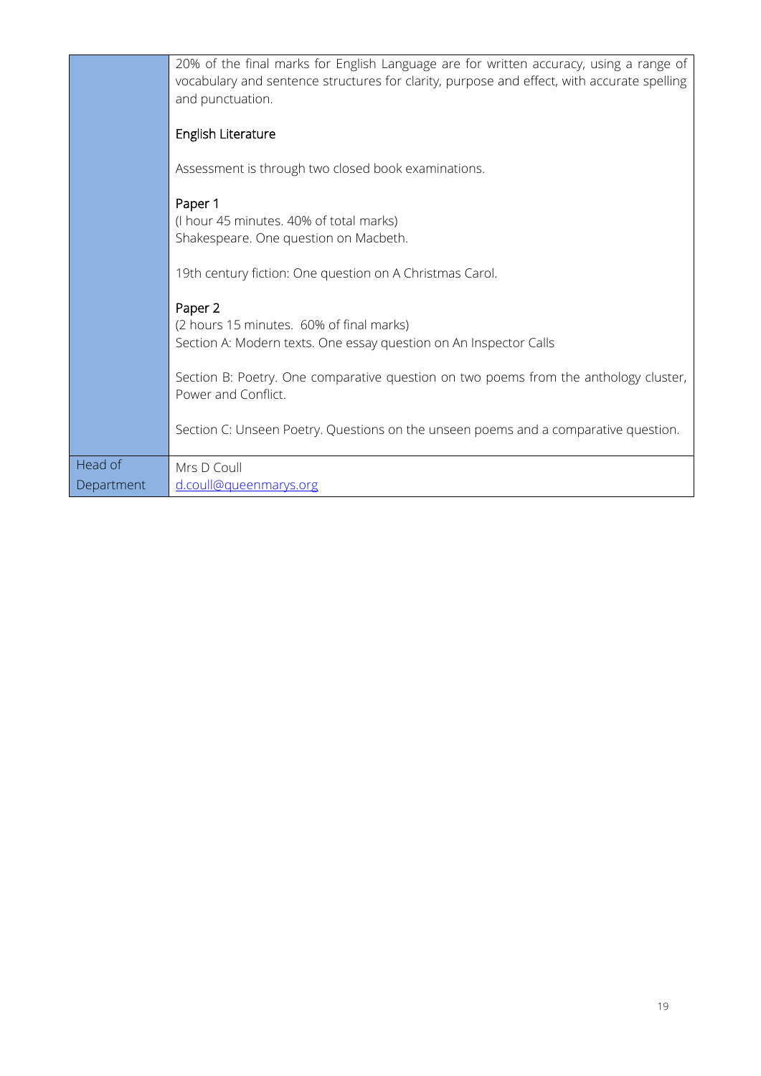|            | 20% of the final marks for English Language are for written accuracy, using a range of<br>vocabulary and sentence structures for clarity, purpose and effect, with accurate spelling<br>and punctuation. |
|------------|----------------------------------------------------------------------------------------------------------------------------------------------------------------------------------------------------------|
|            | English Literature                                                                                                                                                                                       |
|            | Assessment is through two closed book examinations.                                                                                                                                                      |
|            | Paper 1<br>(I hour 45 minutes. 40% of total marks)<br>Shakespeare. One question on Macbeth.                                                                                                              |
|            | 19th century fiction: One question on A Christmas Carol.                                                                                                                                                 |
|            | Paper 2<br>(2 hours 15 minutes. 60% of final marks)<br>Section A: Modern texts. One essay question on An Inspector Calls                                                                                 |
|            | Section B: Poetry. One comparative question on two poems from the anthology cluster,<br>Power and Conflict.                                                                                              |
|            | Section C: Unseen Poetry. Questions on the unseen poems and a comparative question.                                                                                                                      |
| Head of    | Mrs D Coull                                                                                                                                                                                              |
| Department | d.coull@queenmarys.org                                                                                                                                                                                   |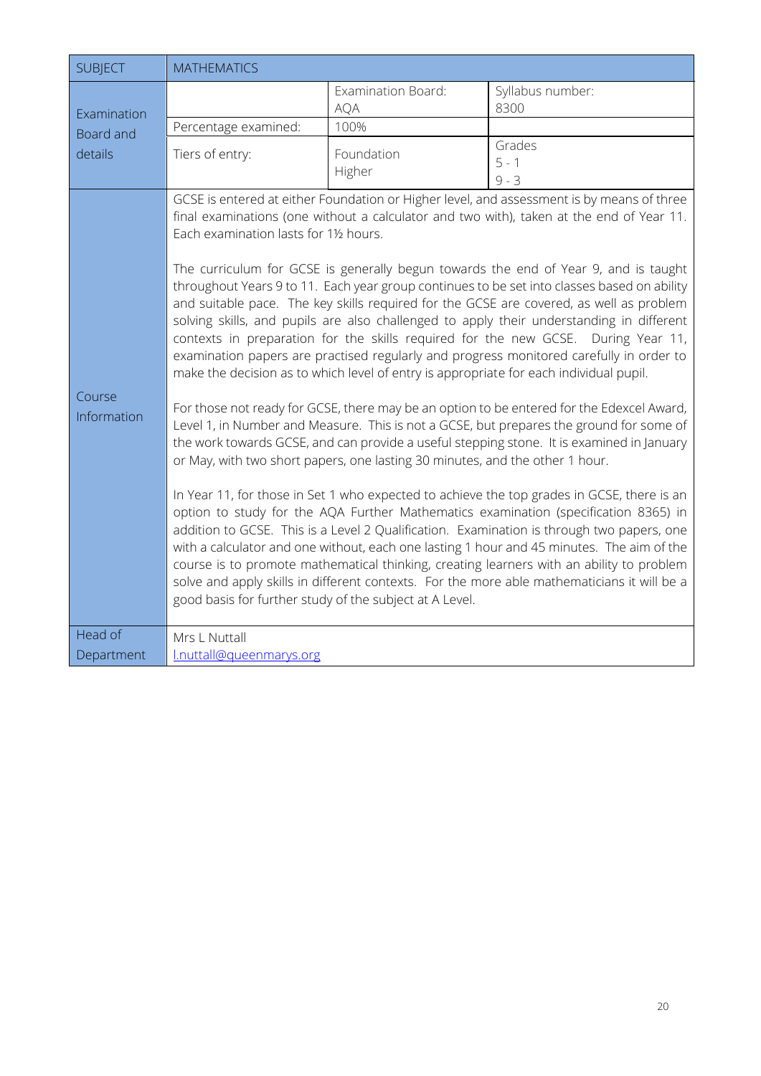<span id="page-20-0"></span>

| <b>SUBJECT</b>                      | <b>MATHEMATICS</b>                                                                                |                                                                              |                                                                                                                                                                                                                                                                                                                                                                                                                                                                                                                                                                                                                                                                                                                                                                                                                                                                                                                                                                                                                                                                                                                                                                                                                                                                                                                                                                                                                                                                                                                                                                                                                                                                                                             |
|-------------------------------------|---------------------------------------------------------------------------------------------------|------------------------------------------------------------------------------|-------------------------------------------------------------------------------------------------------------------------------------------------------------------------------------------------------------------------------------------------------------------------------------------------------------------------------------------------------------------------------------------------------------------------------------------------------------------------------------------------------------------------------------------------------------------------------------------------------------------------------------------------------------------------------------------------------------------------------------------------------------------------------------------------------------------------------------------------------------------------------------------------------------------------------------------------------------------------------------------------------------------------------------------------------------------------------------------------------------------------------------------------------------------------------------------------------------------------------------------------------------------------------------------------------------------------------------------------------------------------------------------------------------------------------------------------------------------------------------------------------------------------------------------------------------------------------------------------------------------------------------------------------------------------------------------------------------|
| Examination<br>Board and<br>details |                                                                                                   | Examination Board:<br><b>AQA</b>                                             | Syllabus number:<br>8300                                                                                                                                                                                                                                                                                                                                                                                                                                                                                                                                                                                                                                                                                                                                                                                                                                                                                                                                                                                                                                                                                                                                                                                                                                                                                                                                                                                                                                                                                                                                                                                                                                                                                    |
|                                     | Percentage examined:                                                                              | 100%                                                                         |                                                                                                                                                                                                                                                                                                                                                                                                                                                                                                                                                                                                                                                                                                                                                                                                                                                                                                                                                                                                                                                                                                                                                                                                                                                                                                                                                                                                                                                                                                                                                                                                                                                                                                             |
|                                     | Tiers of entry:                                                                                   | Foundation<br>Higher                                                         | Grades<br>$5 - 1$<br>$9 - 3$                                                                                                                                                                                                                                                                                                                                                                                                                                                                                                                                                                                                                                                                                                                                                                                                                                                                                                                                                                                                                                                                                                                                                                                                                                                                                                                                                                                                                                                                                                                                                                                                                                                                                |
| Course<br>Information               | Each examination lasts for 11/2 hours.<br>good basis for further study of the subject at A Level. | or May, with two short papers, one lasting 30 minutes, and the other 1 hour. | GCSE is entered at either Foundation or Higher level, and assessment is by means of three<br>final examinations (one without a calculator and two with), taken at the end of Year 11.<br>The curriculum for GCSE is generally begun towards the end of Year 9, and is taught<br>throughout Years 9 to 11. Each year group continues to be set into classes based on ability<br>and suitable pace. The key skills required for the GCSE are covered, as well as problem<br>solving skills, and pupils are also challenged to apply their understanding in different<br>contexts in preparation for the skills required for the new GCSE. During Year 11,<br>examination papers are practised regularly and progress monitored carefully in order to<br>make the decision as to which level of entry is appropriate for each individual pupil.<br>For those not ready for GCSE, there may be an option to be entered for the Edexcel Award,<br>Level 1, in Number and Measure. This is not a GCSE, but prepares the ground for some of<br>the work towards GCSE, and can provide a useful stepping stone. It is examined in January<br>In Year 11, for those in Set 1 who expected to achieve the top grades in GCSE, there is an<br>option to study for the AQA Further Mathematics examination (specification 8365) in<br>addition to GCSE. This is a Level 2 Qualification. Examination is through two papers, one<br>with a calculator and one without, each one lasting 1 hour and 45 minutes. The aim of the<br>course is to promote mathematical thinking, creating learners with an ability to problem<br>solve and apply skills in different contexts. For the more able mathematicians it will be a |
| Head of                             | Mrs L Nuttall                                                                                     |                                                                              |                                                                                                                                                                                                                                                                                                                                                                                                                                                                                                                                                                                                                                                                                                                                                                                                                                                                                                                                                                                                                                                                                                                                                                                                                                                                                                                                                                                                                                                                                                                                                                                                                                                                                                             |
| Department                          | l.nuttall@gueenmarys.org                                                                          |                                                                              |                                                                                                                                                                                                                                                                                                                                                                                                                                                                                                                                                                                                                                                                                                                                                                                                                                                                                                                                                                                                                                                                                                                                                                                                                                                                                                                                                                                                                                                                                                                                                                                                                                                                                                             |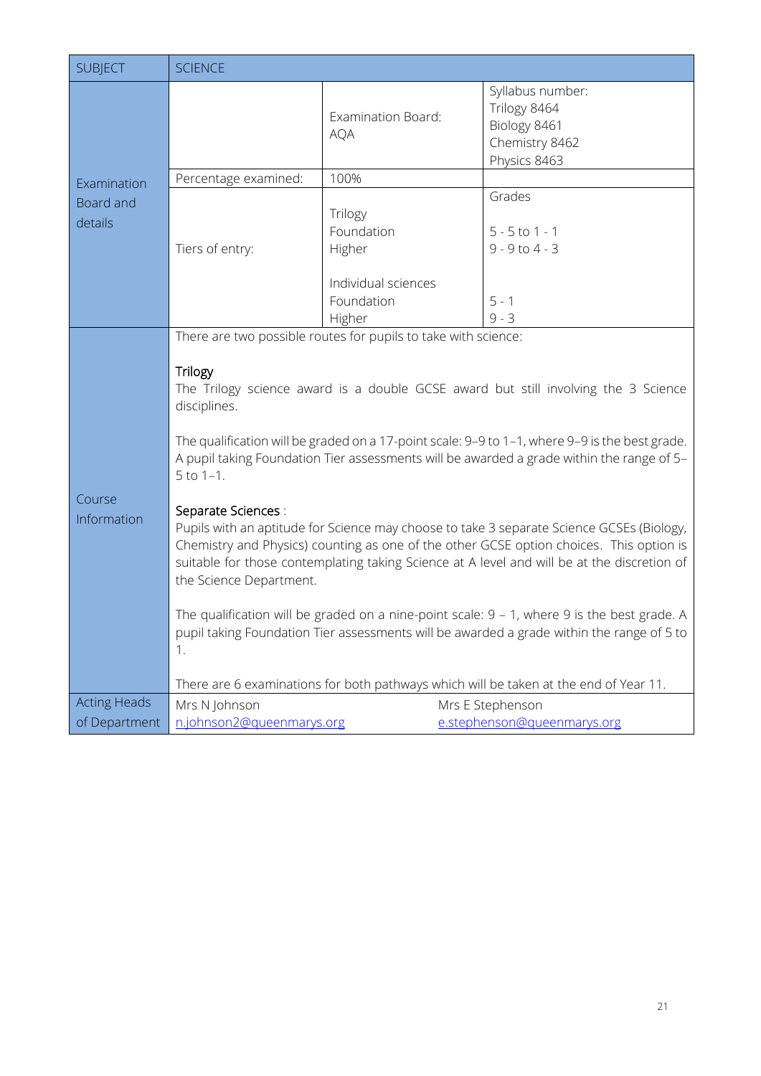<span id="page-21-0"></span>

| <b>SUBJECT</b>              | <b>SCIENCE</b>                                                                                                                                                                                                                                                                                                                                                                                                                                                                                                                                                                                                                                                                                                                                                                                                                                                                                                                                                                                                                                 |                                                                                |                                                                                    |
|-----------------------------|------------------------------------------------------------------------------------------------------------------------------------------------------------------------------------------------------------------------------------------------------------------------------------------------------------------------------------------------------------------------------------------------------------------------------------------------------------------------------------------------------------------------------------------------------------------------------------------------------------------------------------------------------------------------------------------------------------------------------------------------------------------------------------------------------------------------------------------------------------------------------------------------------------------------------------------------------------------------------------------------------------------------------------------------|--------------------------------------------------------------------------------|------------------------------------------------------------------------------------|
|                             |                                                                                                                                                                                                                                                                                                                                                                                                                                                                                                                                                                                                                                                                                                                                                                                                                                                                                                                                                                                                                                                | <b>Examination Board:</b><br><b>AQA</b>                                        | Syllabus number:<br>Trilogy 8464<br>Biology 8461<br>Chemistry 8462<br>Physics 8463 |
| Examination                 | Percentage examined:                                                                                                                                                                                                                                                                                                                                                                                                                                                                                                                                                                                                                                                                                                                                                                                                                                                                                                                                                                                                                           | 100%                                                                           |                                                                                    |
| <b>Board and</b><br>details | Tiers of entry:                                                                                                                                                                                                                                                                                                                                                                                                                                                                                                                                                                                                                                                                                                                                                                                                                                                                                                                                                                                                                                | Trilogy<br>Foundation<br>Higher<br>Individual sciences<br>Foundation<br>Higher | Grades<br>$5 - 5$ to 1 - 1<br>$9 - 9$ to $4 - 3$<br>$5 - 1$<br>$9 - 3$             |
| Course<br>Information       | There are two possible routes for pupils to take with science:<br><b>Trilogy</b><br>The Trilogy science award is a double GCSE award but still involving the 3 Science<br>disciplines.<br>The qualification will be graded on a 17-point scale: 9-9 to 1-1, where 9-9 is the best grade.<br>A pupil taking Foundation Tier assessments will be awarded a grade within the range of 5-<br>$5$ to $1-1$ .<br>Separate Sciences :<br>Pupils with an aptitude for Science may choose to take 3 separate Science GCSEs (Biology,<br>Chemistry and Physics) counting as one of the other GCSE option choices. This option is<br>suitable for those contemplating taking Science at A level and will be at the discretion of<br>the Science Department.<br>The qualification will be graded on a nine-point scale: $9 - 1$ , where 9 is the best grade. A<br>pupil taking Foundation Tier assessments will be awarded a grade within the range of 5 to<br>1.<br>There are 6 examinations for both pathways which will be taken at the end of Year 11. |                                                                                |                                                                                    |
| <b>Acting Heads</b>         | Mrs N Johnson                                                                                                                                                                                                                                                                                                                                                                                                                                                                                                                                                                                                                                                                                                                                                                                                                                                                                                                                                                                                                                  |                                                                                | Mrs E Stephenson                                                                   |
| of Department               | n.johnson2@queenmarys.org                                                                                                                                                                                                                                                                                                                                                                                                                                                                                                                                                                                                                                                                                                                                                                                                                                                                                                                                                                                                                      |                                                                                | e.stephenson@gueenmarys.org                                                        |